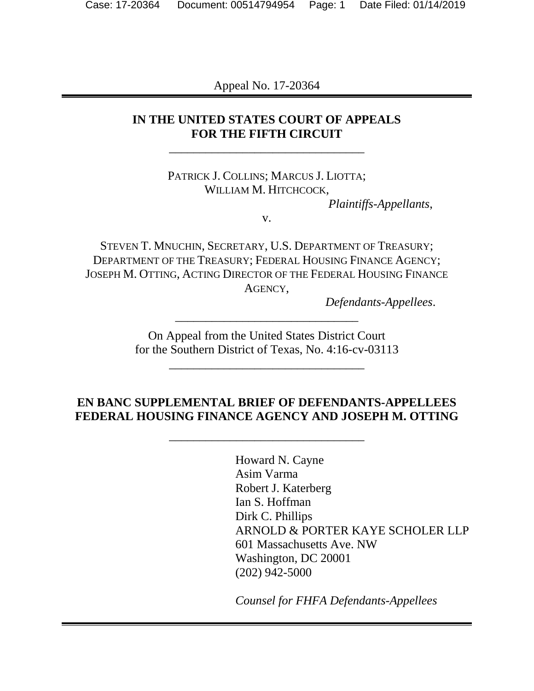Appeal No. 17-20364

## **IN THE UNITED STATES COURT OF APPEALS FOR THE FIFTH CIRCUIT**  \_\_\_\_\_\_\_\_\_\_\_\_\_\_\_\_\_\_\_\_\_\_\_\_\_\_\_\_\_\_\_\_

PATRICK J. COLLINS; MARCUS J. LIOTTA; WILLIAM M. HITCHCOCK,

*Plaintiffs-Appellants*,

v.

STEVEN T. MNUCHIN, SECRETARY, U.S. DEPARTMENT OF TREASURY; DEPARTMENT OF THE TREASURY; FEDERAL HOUSING FINANCE AGENCY; JOSEPH M. OTTING, ACTING DIRECTOR OF THE FEDERAL HOUSING FINANCE AGENCY,

*Defendants-Appellees*.

On Appeal from the United States District Court for the Southern District of Texas, No. 4:16-cv-03113

\_\_\_\_\_\_\_\_\_\_\_\_\_\_\_\_\_\_\_\_\_\_\_\_\_\_\_\_\_\_\_\_

\_\_\_\_\_\_\_\_\_\_\_\_\_\_\_\_\_\_\_\_\_\_\_\_\_\_\_\_\_\_

## **EN BANC SUPPLEMENTAL BRIEF OF DEFENDANTS-APPELLEES FEDERAL HOUSING FINANCE AGENCY AND JOSEPH M. OTTING**

\_\_\_\_\_\_\_\_\_\_\_\_\_\_\_\_\_\_\_\_\_\_\_\_\_\_\_\_\_\_\_\_

Howard N. Cayne Asim Varma Robert J. Katerberg Ian S. Hoffman Dirk C. Phillips ARNOLD & PORTER KAYE SCHOLER LLP 601 Massachusetts Ave. NW Washington, DC 20001 (202) 942-5000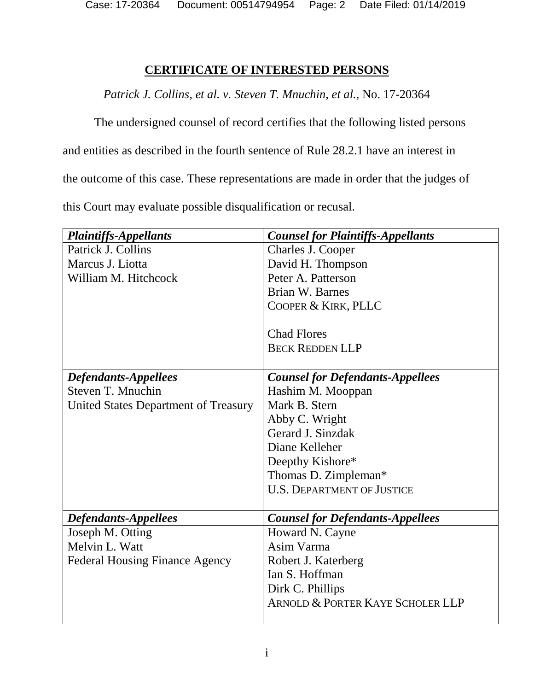Case: 17-20364 Document: 00514794954 Page: 2 Date Filed: 01/14/2019

## **CERTIFICATE OF INTERESTED PERSONS**

*Patrick J. Collins, et al. v. Steven T. Mnuchin, et al.*, No. 17-20364

The undersigned counsel of record certifies that the following listed persons

and entities as described in the fourth sentence of Rule 28.2.1 have an interest in

the outcome of this case. These representations are made in order that the judges of

this Court may evaluate possible disqualification or recusal.

| <b>Plaintiffs-Appellants</b>          | <b>Counsel for Plaintiffs-Appellants</b>    |
|---------------------------------------|---------------------------------------------|
| Patrick J. Collins                    | Charles J. Cooper                           |
| Marcus J. Liotta                      | David H. Thompson                           |
| William M. Hitchcock                  | Peter A. Patterson                          |
|                                       | Brian W. Barnes                             |
|                                       | COOPER & KIRK, PLLC                         |
|                                       |                                             |
|                                       | <b>Chad Flores</b>                          |
|                                       | <b>BECK REDDEN LLP</b>                      |
|                                       |                                             |
| <b>Defendants-Appellees</b>           | <b>Counsel for Defendants-Appellees</b>     |
| Steven T. Mnuchin                     | Hashim M. Mooppan                           |
| United States Department of Treasury  | Mark B. Stern                               |
|                                       | Abby C. Wright                              |
|                                       | Gerard J. Sinzdak                           |
|                                       | Diane Kelleher                              |
|                                       | Deepthy Kishore*                            |
|                                       | Thomas D. Zimpleman*                        |
|                                       | <b>U.S. DEPARTMENT OF JUSTICE</b>           |
|                                       |                                             |
| <b>Defendants-Appellees</b>           | <b>Counsel for Defendants-Appellees</b>     |
| Joseph M. Otting                      | Howard N. Cayne                             |
| Melvin L. Watt                        | Asim Varma                                  |
| <b>Federal Housing Finance Agency</b> | Robert J. Katerberg                         |
|                                       | Ian S. Hoffman                              |
|                                       | Dirk C. Phillips                            |
|                                       | <b>ARNOLD &amp; PORTER KAYE SCHOLER LLP</b> |
|                                       |                                             |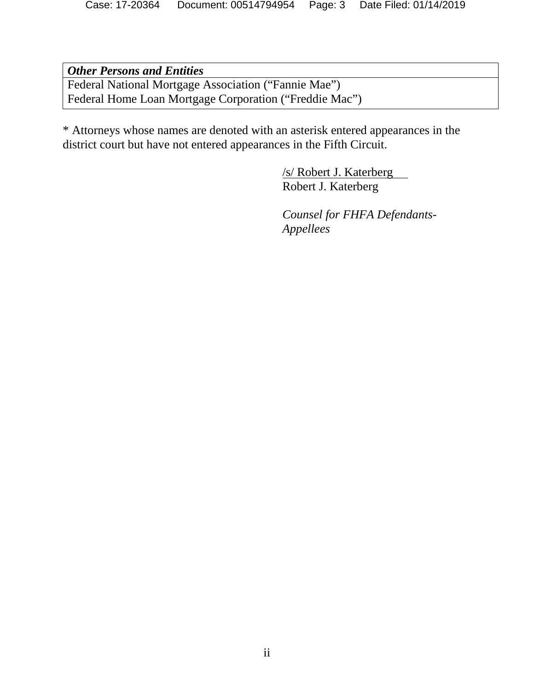*Other Persons and Entities* Federal National Mortgage Association ("Fannie Mae") Federal Home Loan Mortgage Corporation ("Freddie Mac")

\* Attorneys whose names are denoted with an asterisk entered appearances in the district court but have not entered appearances in the Fifth Circuit.

> /s/ Robert J. Katerberg Robert J. Katerberg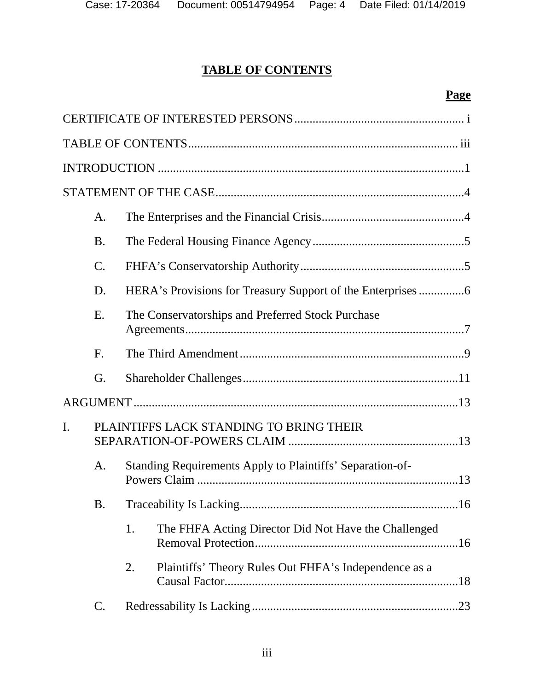# **TABLE OF CONTENTS**

## **Page**

|                                               | A.              |    |                                                           |
|-----------------------------------------------|-----------------|----|-----------------------------------------------------------|
|                                               | <b>B.</b>       |    |                                                           |
|                                               | $\mathcal{C}$ . |    |                                                           |
|                                               | D.              |    |                                                           |
|                                               | E.              |    | The Conservatorships and Preferred Stock Purchase         |
|                                               | F.              |    |                                                           |
|                                               | G.              |    |                                                           |
|                                               |                 |    |                                                           |
| I.<br>PLAINTIFFS LACK STANDING TO BRING THEIR |                 |    |                                                           |
| A.<br>B.                                      |                 |    | Standing Requirements Apply to Plaintiffs' Separation-of- |
|                                               |                 |    |                                                           |
|                                               |                 | 1. | The FHFA Acting Director Did Not Have the Challenged      |
|                                               |                 | 2. | Plaintiffs' Theory Rules Out FHFA's Independence as a     |
|                                               | C.              |    |                                                           |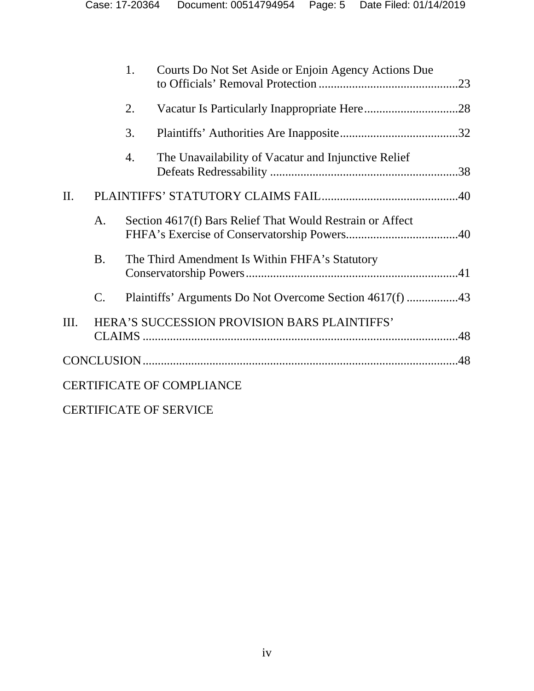|     |           | 1. | Courts Do Not Set Aside or Enjoin Agency Actions Due      |  |
|-----|-----------|----|-----------------------------------------------------------|--|
|     |           | 2. |                                                           |  |
|     |           | 3. |                                                           |  |
|     |           | 4. | The Unavailability of Vacatur and Injunctive Relief       |  |
| II. |           |    |                                                           |  |
|     | A.        |    | Section 4617(f) Bars Relief That Would Restrain or Affect |  |
|     | <b>B.</b> |    | The Third Amendment Is Within FHFA's Statutory            |  |
|     | C.        |    |                                                           |  |
| Ш.  |           |    | HERA'S SUCCESSION PROVISION BARS PLAINTIFFS'              |  |
|     |           |    |                                                           |  |
|     |           |    | <b>CERTIFICATE OF COMPLIANCE</b>                          |  |

CERTIFICATE OF SERVICE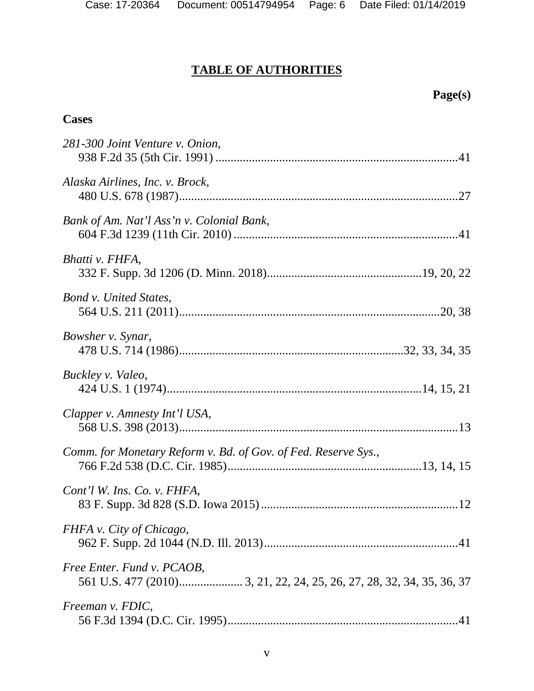# **TABLE OF AUTHORITIES**

## **Page(s)**

## **Cases**

| 281-300 Joint Venture v. Onion,                                |
|----------------------------------------------------------------|
| Alaska Airlines, Inc. v. Brock,                                |
| Bank of Am. Nat'l Ass'n v. Colonial Bank,                      |
| Bhatti v. FHFA,                                                |
| <b>Bond v. United States,</b>                                  |
| Bowsher v. Synar,                                              |
| Buckley v. Valeo,                                              |
| Clapper v. Amnesty Int'l USA,                                  |
| Comm. for Monetary Reform v. Bd. of Gov. of Fed. Reserve Sys., |
| Cont'l W. Ins. Co. v. FHFA,                                    |
| FHFA v. City of Chicago,                                       |
| Free Enter. Fund v. PCAOB,                                     |
| Freeman v. FDIC,                                               |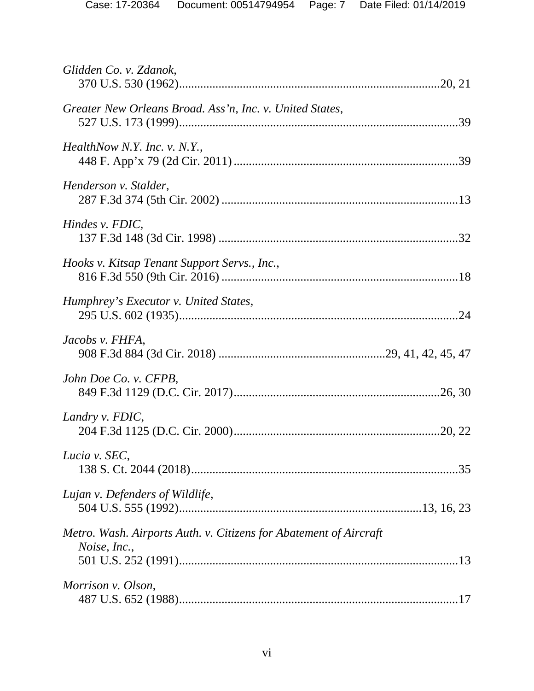| Glidden Co. v. Zdanok,                                                            |  |
|-----------------------------------------------------------------------------------|--|
| Greater New Orleans Broad. Ass'n, Inc. v. United States,                          |  |
| HealthNow N.Y. Inc. v. N.Y.,                                                      |  |
| Henderson v. Stalder,                                                             |  |
| Hindes v. FDIC,                                                                   |  |
| Hooks v. Kitsap Tenant Support Servs., Inc.,                                      |  |
| Humphrey's Executor v. United States,                                             |  |
| Jacobs v. FHFA,                                                                   |  |
| John Doe Co. v. CFPB,                                                             |  |
| Landry v. FDIC,                                                                   |  |
| Lucia v. SEC,                                                                     |  |
| Lujan v. Defenders of Wildlife,                                                   |  |
| Metro. Wash. Airports Auth. v. Citizens for Abatement of Aircraft<br>Noise, Inc., |  |
|                                                                                   |  |
| Morrison v. Olson,                                                                |  |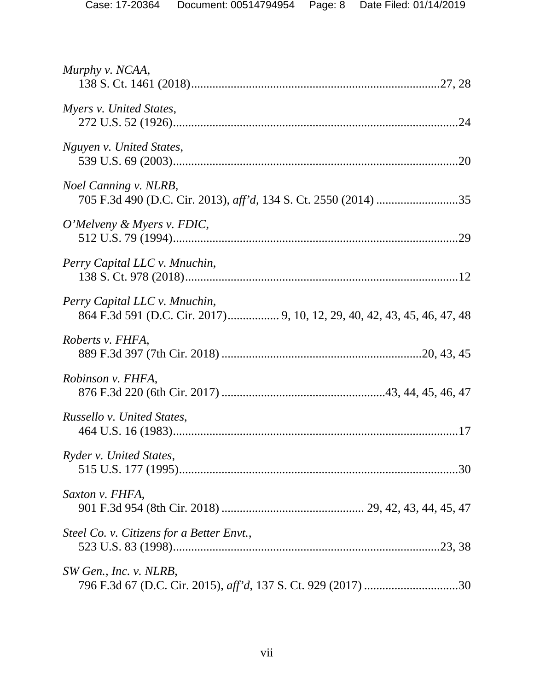| Murphy v. NCAA,                           |
|-------------------------------------------|
| Myers v. United States,                   |
| Nguyen v. United States,                  |
| <i>Noel Canning v. NLRB,</i>              |
| O'Melveny & Myers v. FDIC,                |
| Perry Capital LLC v. Mnuchin,             |
| Perry Capital LLC v. Mnuchin,             |
| Roberts v. FHFA,                          |
| Robinson v. FHFA,                         |
| Russello v. United States,                |
| Ryder v. United States,                   |
| Saxton v. FHFA,                           |
| Steel Co. v. Citizens for a Better Envt., |
| SW Gen., Inc. v. NLRB,                    |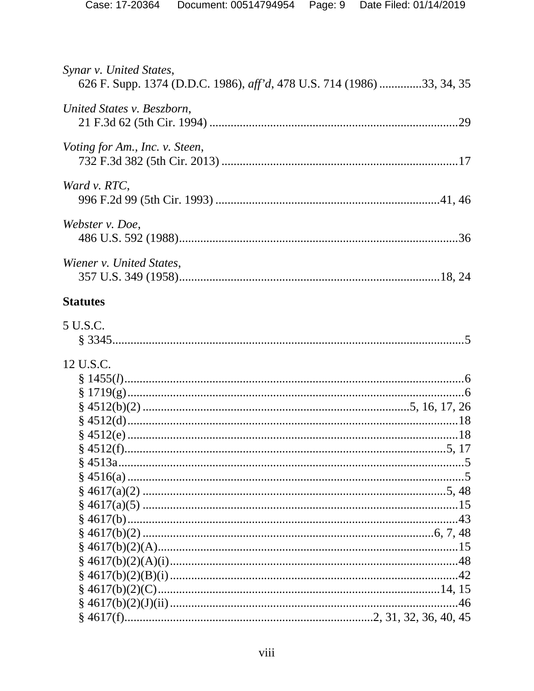| Synar v. United States,<br>626 F. Supp. 1374 (D.D.C. 1986), aff'd, 478 U.S. 714 (1986) 33, 34, 35 |  |
|---------------------------------------------------------------------------------------------------|--|
| United States v. Beszborn,                                                                        |  |
| <i>Voting for Am., Inc. v. Steen,</i>                                                             |  |
| Ward v. RTC,                                                                                      |  |
| Webster v. Doe,                                                                                   |  |
| Wiener v. United States,                                                                          |  |
| <b>Statutes</b>                                                                                   |  |
| 5 U.S.C.                                                                                          |  |
| 12 U.S.C.                                                                                         |  |
|                                                                                                   |  |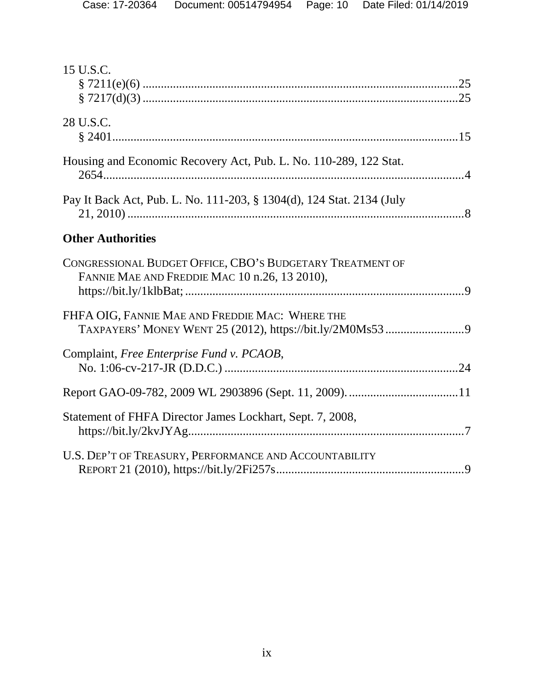| 15 U.S.C.                                                                                                   |  |
|-------------------------------------------------------------------------------------------------------------|--|
| 28 U.S.C.                                                                                                   |  |
| Housing and Economic Recovery Act, Pub. L. No. 110-289, 122 Stat.                                           |  |
| Pay It Back Act, Pub. L. No. 111-203, § 1304(d), 124 Stat. 2134 (July                                       |  |
| <b>Other Authorities</b>                                                                                    |  |
| CONGRESSIONAL BUDGET OFFICE, CBO'S BUDGETARY TREATMENT OF<br>FANNIE MAE AND FREDDIE MAC 10 n.26, 13 2010),  |  |
| FHFA OIG, FANNIE MAE AND FREDDIE MAC: WHERE THE<br>TAXPAYERS' MONEY WENT 25 (2012), https://bit.ly/2M0Ms539 |  |
| Complaint, Free Enterprise Fund v. PCAOB,                                                                   |  |
|                                                                                                             |  |
| Statement of FHFA Director James Lockhart, Sept. 7, 2008,                                                   |  |
| U.S. DEP'T OF TREASURY, PERFORMANCE AND ACCOUNTABILITY                                                      |  |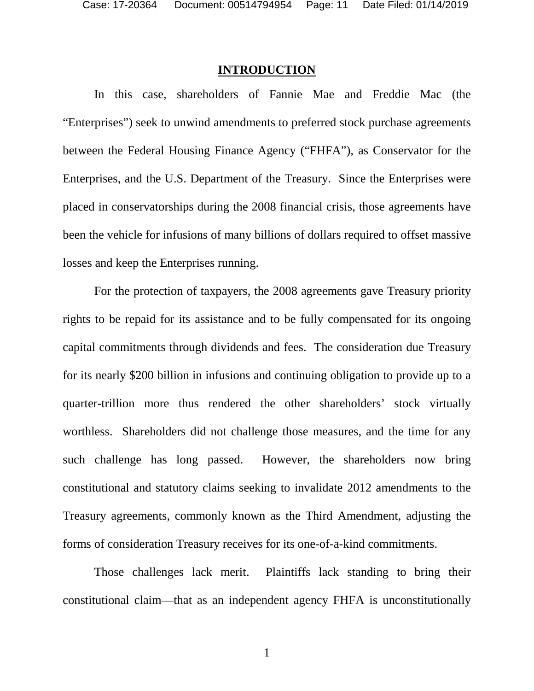#### **INTRODUCTION**

In this case, shareholders of Fannie Mae and Freddie Mac (the "Enterprises") seek to unwind amendments to preferred stock purchase agreements between the Federal Housing Finance Agency ("FHFA"), as Conservator for the Enterprises, and the U.S. Department of the Treasury. Since the Enterprises were placed in conservatorships during the 2008 financial crisis, those agreements have been the vehicle for infusions of many billions of dollars required to offset massive losses and keep the Enterprises running.

For the protection of taxpayers, the 2008 agreements gave Treasury priority rights to be repaid for its assistance and to be fully compensated for its ongoing capital commitments through dividends and fees. The consideration due Treasury for its nearly \$200 billion in infusions and continuing obligation to provide up to a quarter-trillion more thus rendered the other shareholders' stock virtually worthless. Shareholders did not challenge those measures, and the time for any such challenge has long passed. However, the shareholders now bring constitutional and statutory claims seeking to invalidate 2012 amendments to the Treasury agreements, commonly known as the Third Amendment, adjusting the forms of consideration Treasury receives for its one-of-a-kind commitments.

Those challenges lack merit. Plaintiffs lack standing to bring their constitutional claim—that as an independent agency FHFA is unconstitutionally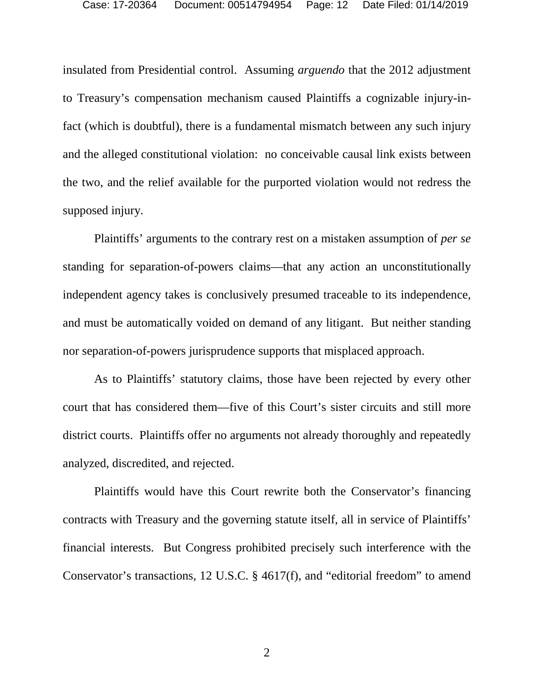insulated from Presidential control. Assuming *arguendo* that the 2012 adjustment to Treasury's compensation mechanism caused Plaintiffs a cognizable injury-infact (which is doubtful), there is a fundamental mismatch between any such injury and the alleged constitutional violation: no conceivable causal link exists between the two, and the relief available for the purported violation would not redress the supposed injury.

Plaintiffs' arguments to the contrary rest on a mistaken assumption of *per se* standing for separation-of-powers claims—that any action an unconstitutionally independent agency takes is conclusively presumed traceable to its independence, and must be automatically voided on demand of any litigant. But neither standing nor separation-of-powers jurisprudence supports that misplaced approach.

As to Plaintiffs' statutory claims, those have been rejected by every other court that has considered them—five of this Court's sister circuits and still more district courts. Plaintiffs offer no arguments not already thoroughly and repeatedly analyzed, discredited, and rejected.

Plaintiffs would have this Court rewrite both the Conservator's financing contracts with Treasury and the governing statute itself, all in service of Plaintiffs' financial interests. But Congress prohibited precisely such interference with the Conservator's transactions, 12 U.S.C. § 4617(f), and "editorial freedom" to amend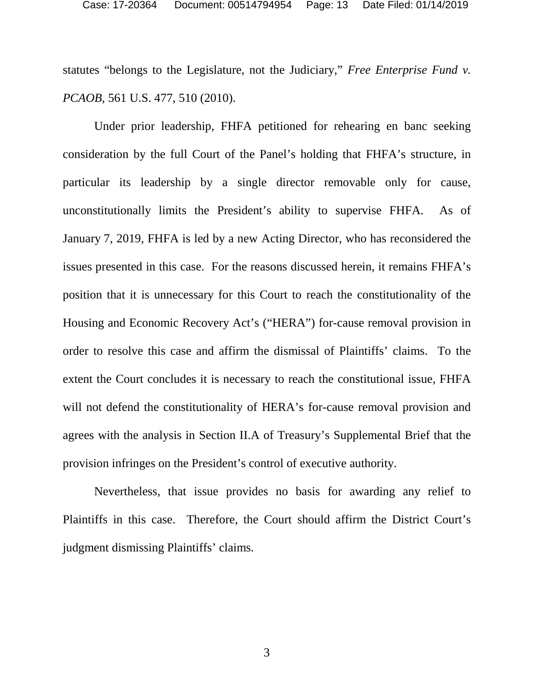statutes "belongs to the Legislature, not the Judiciary," *Free Enterprise Fund v. PCAOB*, 561 U.S. 477, 510 (2010).

Under prior leadership, FHFA petitioned for rehearing en banc seeking consideration by the full Court of the Panel's holding that FHFA's structure, in particular its leadership by a single director removable only for cause, unconstitutionally limits the President's ability to supervise FHFA. As of January 7, 2019, FHFA is led by a new Acting Director, who has reconsidered the issues presented in this case. For the reasons discussed herein, it remains FHFA's position that it is unnecessary for this Court to reach the constitutionality of the Housing and Economic Recovery Act's ("HERA") for-cause removal provision in order to resolve this case and affirm the dismissal of Plaintiffs' claims. To the extent the Court concludes it is necessary to reach the constitutional issue, FHFA will not defend the constitutionality of HERA's for-cause removal provision and agrees with the analysis in Section II.A of Treasury's Supplemental Brief that the provision infringes on the President's control of executive authority.

Nevertheless, that issue provides no basis for awarding any relief to Plaintiffs in this case. Therefore, the Court should affirm the District Court's judgment dismissing Plaintiffs' claims.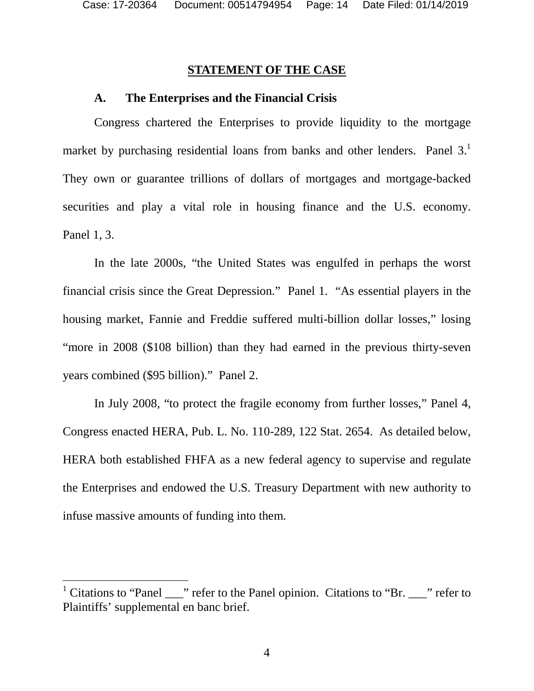### **STATEMENT OF THE CASE**

#### **A. The Enterprises and the Financial Crisis**

Congress chartered the Enterprises to provide liquidity to the mortgage market by purchasing residential loans from banks and other lenders. Panel  $3<sup>1</sup>$ They own or guarantee trillions of dollars of mortgages and mortgage-backed securities and play a vital role in housing finance and the U.S. economy. Panel 1, 3.

In the late 2000s, "the United States was engulfed in perhaps the worst financial crisis since the Great Depression." Panel 1. "As essential players in the housing market, Fannie and Freddie suffered multi-billion dollar losses," losing "more in 2008 (\$108 billion) than they had earned in the previous thirty-seven years combined (\$95 billion)." Panel 2.

In July 2008, "to protect the fragile economy from further losses," Panel 4, Congress enacted HERA, Pub. L. No. 110-289, 122 Stat. 2654. As detailed below, HERA both established FHFA as a new federal agency to supervise and regulate the Enterprises and endowed the U.S. Treasury Department with new authority to infuse massive amounts of funding into them.

<sup>&</sup>lt;sup>1</sup> Citations to "Panel \_\_\_" refer to the Panel opinion. Citations to "Br. \_\_\_" refer to Plaintiffs' supplemental en banc brief.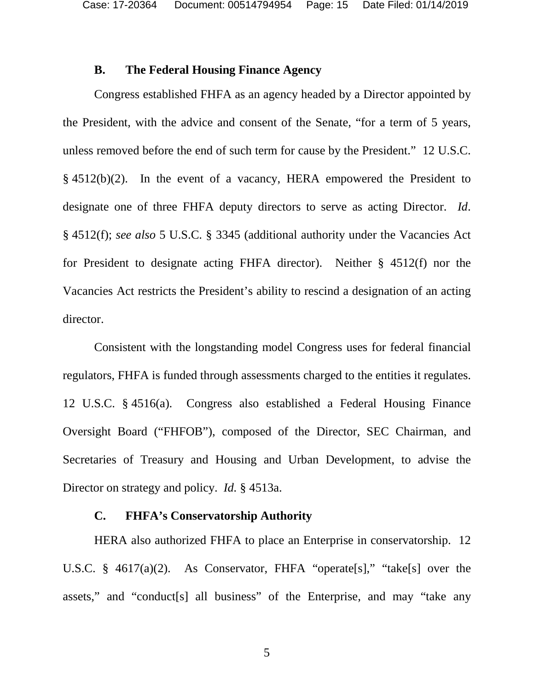Case: 17-20364 Document: 00514794954 Page: 15 Date Filed: 01/14/2019

#### **B. The Federal Housing Finance Agency**

Congress established FHFA as an agency headed by a Director appointed by the President, with the advice and consent of the Senate, "for a term of 5 years, unless removed before the end of such term for cause by the President." 12 U.S.C. § 4512(b)(2). In the event of a vacancy, HERA empowered the President to designate one of three FHFA deputy directors to serve as acting Director. *Id*. § 4512(f); *see also* 5 U.S.C. § 3345 (additional authority under the Vacancies Act for President to designate acting FHFA director). Neither § 4512(f) nor the Vacancies Act restricts the President's ability to rescind a designation of an acting director.

Consistent with the longstanding model Congress uses for federal financial regulators, FHFA is funded through assessments charged to the entities it regulates. 12 U.S.C. § 4516(a). Congress also established a Federal Housing Finance Oversight Board ("FHFOB"), composed of the Director, SEC Chairman, and Secretaries of Treasury and Housing and Urban Development, to advise the Director on strategy and policy. *Id.* § 4513a.

## **C. FHFA's Conservatorship Authority**

HERA also authorized FHFA to place an Enterprise in conservatorship. 12 U.S.C. § 4617(a)(2). As Conservator, FHFA "operate[s]," "take[s] over the assets," and "conduct[s] all business" of the Enterprise, and may "take any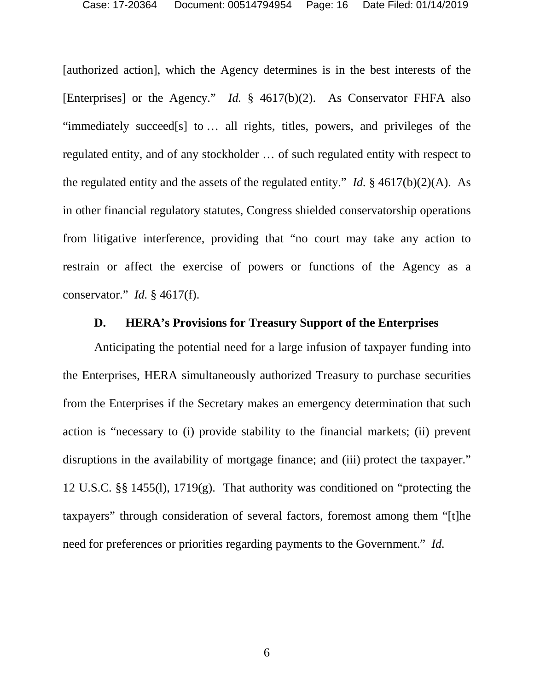[authorized action], which the Agency determines is in the best interests of the [Enterprises] or the Agency." *Id.* § 4617(b)(2). As Conservator FHFA also "immediately succeed[s] to … all rights, titles, powers, and privileges of the regulated entity, and of any stockholder … of such regulated entity with respect to the regulated entity and the assets of the regulated entity." *Id.* § 4617(b)(2)(A). As in other financial regulatory statutes, Congress shielded conservatorship operations from litigative interference, providing that "no court may take any action to restrain or affect the exercise of powers or functions of the Agency as a conservator." *Id.* § 4617(f).

## **D. HERA's Provisions for Treasury Support of the Enterprises**

Anticipating the potential need for a large infusion of taxpayer funding into the Enterprises, HERA simultaneously authorized Treasury to purchase securities from the Enterprises if the Secretary makes an emergency determination that such action is "necessary to (i) provide stability to the financial markets; (ii) prevent disruptions in the availability of mortgage finance; and (iii) protect the taxpayer." 12 U.S.C. §§ 1455(l), 1719(g). That authority was conditioned on "protecting the taxpayers" through consideration of several factors, foremost among them "[t]he need for preferences or priorities regarding payments to the Government." *Id.*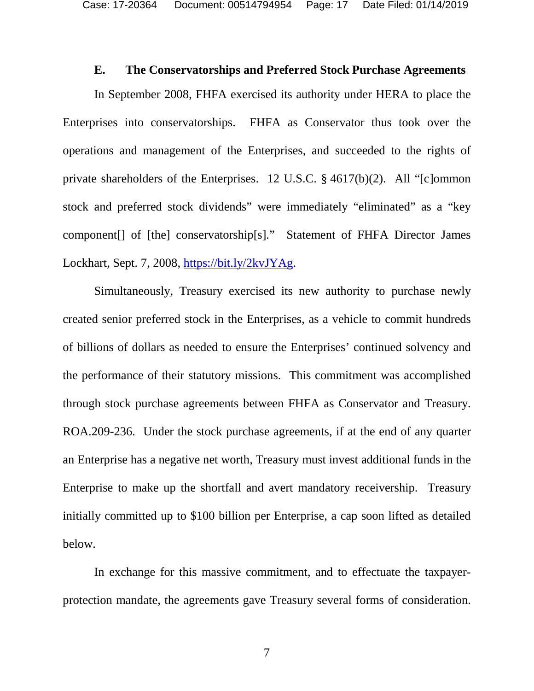Case: 17-20364 Document: 00514794954 Page: 17 Date Filed: 01/14/2019

#### **E. The Conservatorships and Preferred Stock Purchase Agreements**

In September 2008, FHFA exercised its authority under HERA to place the Enterprises into conservatorships. FHFA as Conservator thus took over the operations and management of the Enterprises, and succeeded to the rights of private shareholders of the Enterprises. 12 U.S.C. § 4617(b)(2). All "[c]ommon stock and preferred stock dividends" were immediately "eliminated" as a "key component[] of [the] conservatorship[s]." Statement of FHFA Director James Lockhart, Sept. 7, 2008, https://bit.ly/2kvJYAg.

Simultaneously, Treasury exercised its new authority to purchase newly created senior preferred stock in the Enterprises, as a vehicle to commit hundreds of billions of dollars as needed to ensure the Enterprises' continued solvency and the performance of their statutory missions. This commitment was accomplished through stock purchase agreements between FHFA as Conservator and Treasury. ROA.209-236. Under the stock purchase agreements, if at the end of any quarter an Enterprise has a negative net worth, Treasury must invest additional funds in the Enterprise to make up the shortfall and avert mandatory receivership. Treasury initially committed up to \$100 billion per Enterprise, a cap soon lifted as detailed below.

In exchange for this massive commitment, and to effectuate the taxpayerprotection mandate, the agreements gave Treasury several forms of consideration.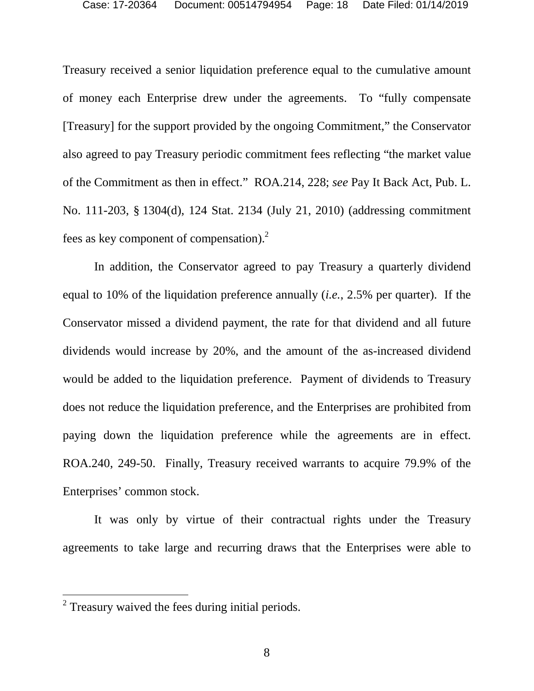Treasury received a senior liquidation preference equal to the cumulative amount of money each Enterprise drew under the agreements. To "fully compensate [Treasury] for the support provided by the ongoing Commitment," the Conservator also agreed to pay Treasury periodic commitment fees reflecting "the market value of the Commitment as then in effect." ROA.214, 228; *see* Pay It Back Act, Pub. L. No. 111-203, § 1304(d), 124 Stat. 2134 (July 21, 2010) (addressing commitment fees as key component of compensation).<sup>2</sup>

In addition, the Conservator agreed to pay Treasury a quarterly dividend equal to 10% of the liquidation preference annually (*i.e.*, 2.5% per quarter). If the Conservator missed a dividend payment, the rate for that dividend and all future dividends would increase by 20%, and the amount of the as-increased dividend would be added to the liquidation preference. Payment of dividends to Treasury does not reduce the liquidation preference, and the Enterprises are prohibited from paying down the liquidation preference while the agreements are in effect. ROA.240, 249-50. Finally, Treasury received warrants to acquire 79.9% of the Enterprises' common stock.

It was only by virtue of their contractual rights under the Treasury agreements to take large and recurring draws that the Enterprises were able to

 $2$  Treasury waived the fees during initial periods.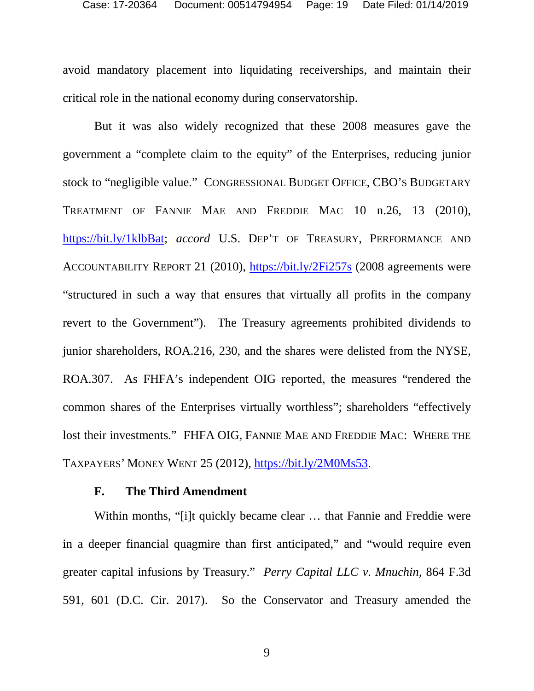avoid mandatory placement into liquidating receiverships, and maintain their critical role in the national economy during conservatorship.

But it was also widely recognized that these 2008 measures gave the government a "complete claim to the equity" of the Enterprises, reducing junior stock to "negligible value." CONGRESSIONAL BUDGET OFFICE, CBO'S BUDGETARY TREATMENT OF FANNIE MAE AND FREDDIE MAC 10 n.26, 13 (2010), https://bit.ly/1klbBat; *accord* U.S. DEP'T OF TREASURY, PERFORMANCE AND ACCOUNTABILITY REPORT 21 (2010), https://bit.ly/2Fi257s (2008 agreements were "structured in such a way that ensures that virtually all profits in the company revert to the Government"). The Treasury agreements prohibited dividends to junior shareholders, ROA.216, 230, and the shares were delisted from the NYSE, ROA.307. As FHFA's independent OIG reported, the measures "rendered the common shares of the Enterprises virtually worthless"; shareholders "effectively lost their investments." FHFA OIG, FANNIE MAE AND FREDDIE MAC: WHERE THE TAXPAYERS' MONEY WENT 25 (2012), https://bit.ly/2M0Ms53.

#### **F. The Third Amendment**

Within months, "[i]t quickly became clear ... that Fannie and Freddie were in a deeper financial quagmire than first anticipated," and "would require even greater capital infusions by Treasury." *Perry Capital LLC v. Mnuchin*, 864 F.3d 591, 601 (D.C. Cir. 2017). So the Conservator and Treasury amended the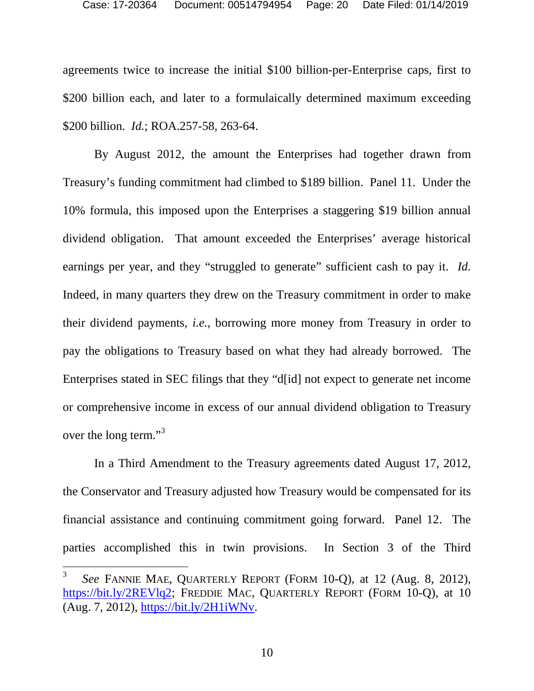agreements twice to increase the initial \$100 billion-per-Enterprise caps, first to \$200 billion each, and later to a formulaically determined maximum exceeding \$200 billion. *Id.*; ROA.257-58, 263-64.

By August 2012, the amount the Enterprises had together drawn from Treasury's funding commitment had climbed to \$189 billion. Panel 11. Under the 10% formula, this imposed upon the Enterprises a staggering \$19 billion annual dividend obligation. That amount exceeded the Enterprises' average historical earnings per year, and they "struggled to generate" sufficient cash to pay it. *Id.* Indeed, in many quarters they drew on the Treasury commitment in order to make their dividend payments, *i.e.*, borrowing more money from Treasury in order to pay the obligations to Treasury based on what they had already borrowed. The Enterprises stated in SEC filings that they "d[id] not expect to generate net income or comprehensive income in excess of our annual dividend obligation to Treasury over the long term."<sup>3</sup>

In a Third Amendment to the Treasury agreements dated August 17, 2012, the Conservator and Treasury adjusted how Treasury would be compensated for its financial assistance and continuing commitment going forward. Panel 12. The parties accomplished this in twin provisions. In Section 3 of the Third

<sup>3</sup> *See* FANNIE MAE, QUARTERLY REPORT (FORM 10-Q), at 12 (Aug. 8, 2012), https://bit.ly/2REVlq2; FREDDIE MAC, QUARTERLY REPORT (FORM 10-Q), at 10 (Aug. 7, 2012), https://bit.ly/2H1iWNv.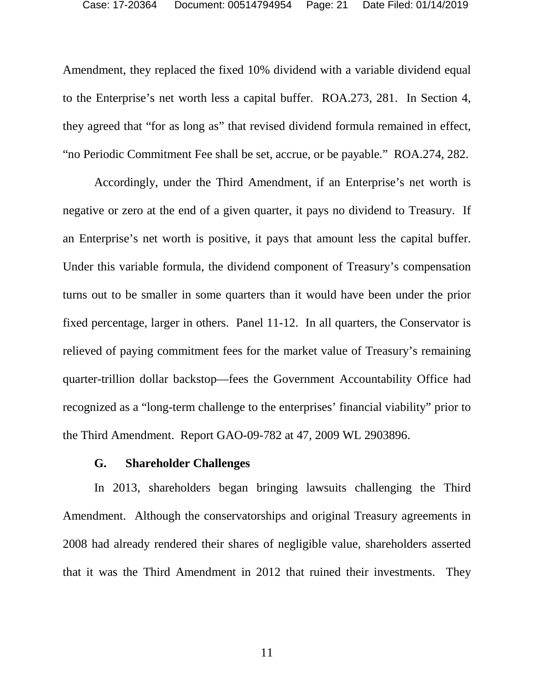Amendment, they replaced the fixed 10% dividend with a variable dividend equal to the Enterprise's net worth less a capital buffer. ROA.273, 281. In Section 4, they agreed that "for as long as" that revised dividend formula remained in effect, "no Periodic Commitment Fee shall be set, accrue, or be payable." ROA.274, 282.

Accordingly, under the Third Amendment, if an Enterprise's net worth is negative or zero at the end of a given quarter, it pays no dividend to Treasury. If an Enterprise's net worth is positive, it pays that amount less the capital buffer. Under this variable formula, the dividend component of Treasury's compensation turns out to be smaller in some quarters than it would have been under the prior fixed percentage, larger in others. Panel 11-12. In all quarters, the Conservator is relieved of paying commitment fees for the market value of Treasury's remaining quarter-trillion dollar backstop—fees the Government Accountability Office had recognized as a "long-term challenge to the enterprises' financial viability" prior to the Third Amendment. Report GAO-09-782 at 47, 2009 WL 2903896.

#### **G. Shareholder Challenges**

In 2013, shareholders began bringing lawsuits challenging the Third Amendment. Although the conservatorships and original Treasury agreements in 2008 had already rendered their shares of negligible value, shareholders asserted that it was the Third Amendment in 2012 that ruined their investments. They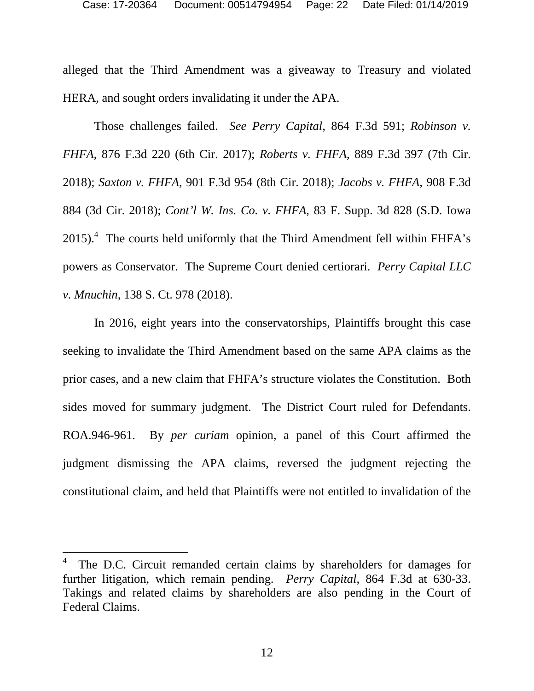alleged that the Third Amendment was a giveaway to Treasury and violated HERA, and sought orders invalidating it under the APA.

Those challenges failed. *See Perry Capital*, 864 F.3d 591; *Robinson v. FHFA*, 876 F.3d 220 (6th Cir. 2017); *Roberts v. FHFA*, 889 F.3d 397 (7th Cir. 2018); *Saxton v. FHFA*, 901 F.3d 954 (8th Cir. 2018); *Jacobs v. FHFA*, 908 F.3d 884 (3d Cir. 2018); *Cont'l W. Ins. Co. v. FHFA*, 83 F. Supp. 3d 828 (S.D. Iowa  $2015$ .<sup>4</sup> The courts held uniformly that the Third Amendment fell within FHFA's powers as Conservator. The Supreme Court denied certiorari. *Perry Capital LLC v. Mnuchin*, 138 S. Ct. 978 (2018).

In 2016, eight years into the conservatorships, Plaintiffs brought this case seeking to invalidate the Third Amendment based on the same APA claims as the prior cases, and a new claim that FHFA's structure violates the Constitution. Both sides moved for summary judgment. The District Court ruled for Defendants. ROA.946-961. By *per curiam* opinion, a panel of this Court affirmed the judgment dismissing the APA claims, reversed the judgment rejecting the constitutional claim, and held that Plaintiffs were not entitled to invalidation of the

<sup>4</sup> The D.C. Circuit remanded certain claims by shareholders for damages for further litigation, which remain pending. *Perry Capital*, 864 F.3d at 630-33. Takings and related claims by shareholders are also pending in the Court of Federal Claims.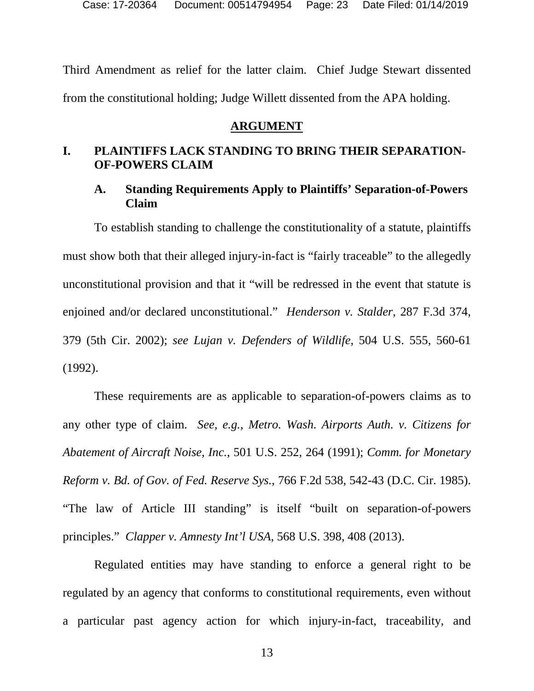Case: 17-20364 Document: 00514794954 Page: 23 Date Filed: 01/14/2019

Third Amendment as relief for the latter claim. Chief Judge Stewart dissented from the constitutional holding; Judge Willett dissented from the APA holding.

#### **ARGUMENT**

#### **I. PLAINTIFFS LACK STANDING TO BRING THEIR SEPARATION-OF-POWERS CLAIM**

### **A. Standing Requirements Apply to Plaintiffs' Separation-of-Powers Claim**

To establish standing to challenge the constitutionality of a statute, plaintiffs must show both that their alleged injury-in-fact is "fairly traceable" to the allegedly unconstitutional provision and that it "will be redressed in the event that statute is enjoined and/or declared unconstitutional." *Henderson v. Stalder*, 287 F.3d 374, 379 (5th Cir. 2002); *see Lujan v. Defenders of Wildlife*, 504 U.S. 555, 560-61 (1992).

These requirements are as applicable to separation-of-powers claims as to any other type of claim. *See, e.g.*, *Metro. Wash. Airports Auth. v. Citizens for Abatement of Aircraft Noise, Inc.*, 501 U.S. 252, 264 (1991); *Comm. for Monetary Reform v. Bd. of Gov. of Fed. Reserve Sys.*, 766 F.2d 538, 542-43 (D.C. Cir. 1985). "The law of Article III standing" is itself "built on separation-of-powers principles." *Clapper v. Amnesty Int'l USA*, 568 U.S. 398, 408 (2013).

Regulated entities may have standing to enforce a general right to be regulated by an agency that conforms to constitutional requirements, even without a particular past agency action for which injury-in-fact, traceability, and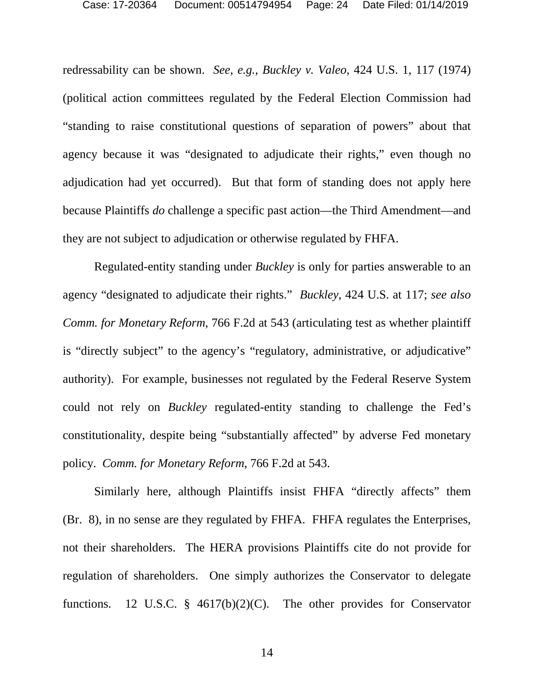redressability can be shown. *See*, *e.g.*, *Buckley v. Valeo*, 424 U.S. 1, 117 (1974) (political action committees regulated by the Federal Election Commission had "standing to raise constitutional questions of separation of powers" about that agency because it was "designated to adjudicate their rights," even though no adjudication had yet occurred). But that form of standing does not apply here because Plaintiffs *do* challenge a specific past action—the Third Amendment—and they are not subject to adjudication or otherwise regulated by FHFA.

Regulated-entity standing under *Buckley* is only for parties answerable to an agency "designated to adjudicate their rights." *Buckley*, 424 U.S. at 117; *see also Comm. for Monetary Reform*, 766 F.2d at 543 (articulating test as whether plaintiff is "directly subject" to the agency's "regulatory, administrative, or adjudicative" authority). For example, businesses not regulated by the Federal Reserve System could not rely on *Buckley* regulated-entity standing to challenge the Fed's constitutionality, despite being "substantially affected" by adverse Fed monetary policy. *Comm. for Monetary Reform*, 766 F.2d at 543.

Similarly here, although Plaintiffs insist FHFA "directly affects" them (Br. 8), in no sense are they regulated by FHFA. FHFA regulates the Enterprises, not their shareholders. The HERA provisions Plaintiffs cite do not provide for regulation of shareholders. One simply authorizes the Conservator to delegate functions. 12 U.S.C. § 4617(b)(2)(C). The other provides for Conservator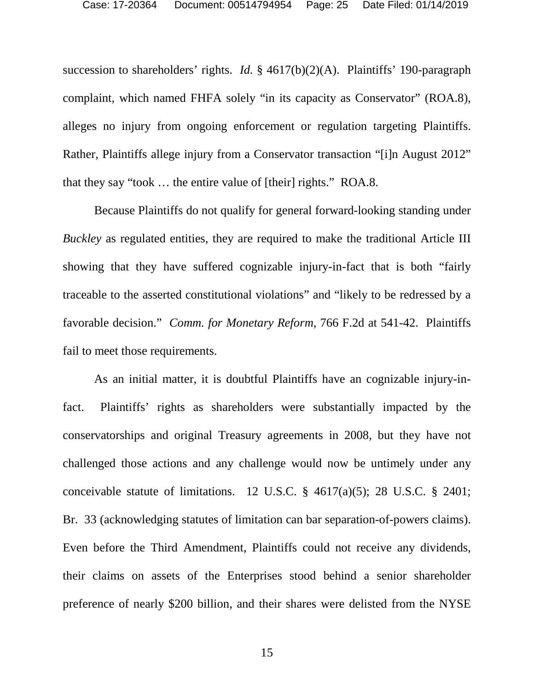succession to shareholders' rights. *Id.* § 4617(b)(2)(A). Plaintiffs' 190-paragraph complaint, which named FHFA solely "in its capacity as Conservator" (ROA.8), alleges no injury from ongoing enforcement or regulation targeting Plaintiffs. Rather, Plaintiffs allege injury from a Conservator transaction "[i]n August 2012" that they say "took … the entire value of [their] rights." ROA.8.

Because Plaintiffs do not qualify for general forward-looking standing under *Buckley* as regulated entities, they are required to make the traditional Article III showing that they have suffered cognizable injury-in-fact that is both "fairly traceable to the asserted constitutional violations" and "likely to be redressed by a favorable decision." *Comm. for Monetary Reform*, 766 F.2d at 541-42. Plaintiffs fail to meet those requirements.

As an initial matter, it is doubtful Plaintiffs have an cognizable injury-infact. Plaintiffs' rights as shareholders were substantially impacted by the conservatorships and original Treasury agreements in 2008, but they have not challenged those actions and any challenge would now be untimely under any conceivable statute of limitations. 12 U.S.C.  $\S$  4617(a)(5); 28 U.S.C.  $\S$  2401; Br. 33 (acknowledging statutes of limitation can bar separation-of-powers claims). Even before the Third Amendment, Plaintiffs could not receive any dividends, their claims on assets of the Enterprises stood behind a senior shareholder preference of nearly \$200 billion, and their shares were delisted from the NYSE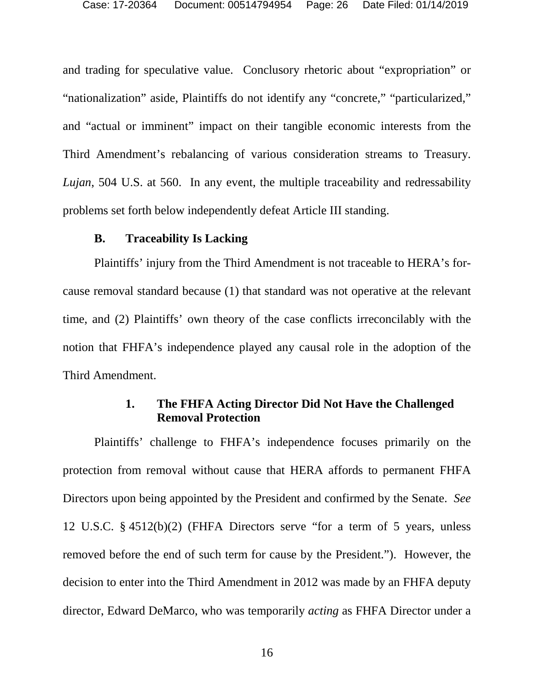and trading for speculative value. Conclusory rhetoric about "expropriation" or "nationalization" aside, Plaintiffs do not identify any "concrete," "particularized," and "actual or imminent" impact on their tangible economic interests from the Third Amendment's rebalancing of various consideration streams to Treasury. *Lujan*, 504 U.S. at 560. In any event, the multiple traceability and redressability problems set forth below independently defeat Article III standing.

#### **B. Traceability Is Lacking**

Plaintiffs' injury from the Third Amendment is not traceable to HERA's forcause removal standard because (1) that standard was not operative at the relevant time, and (2) Plaintiffs' own theory of the case conflicts irreconcilably with the notion that FHFA's independence played any causal role in the adoption of the Third Amendment.

## **1. The FHFA Acting Director Did Not Have the Challenged Removal Protection**

Plaintiffs' challenge to FHFA's independence focuses primarily on the protection from removal without cause that HERA affords to permanent FHFA Directors upon being appointed by the President and confirmed by the Senate. *See* 12 U.S.C. § 4512(b)(2) (FHFA Directors serve "for a term of 5 years, unless removed before the end of such term for cause by the President."). However, the decision to enter into the Third Amendment in 2012 was made by an FHFA deputy director, Edward DeMarco, who was temporarily *acting* as FHFA Director under a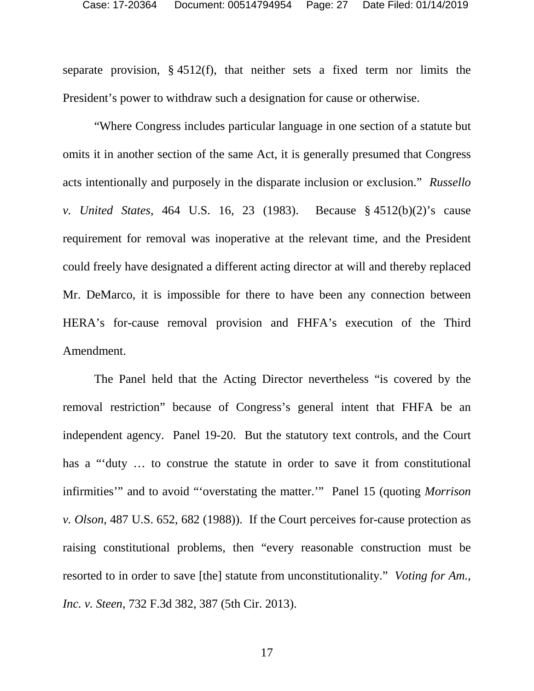separate provision,  $\S$  4512(f), that neither sets a fixed term nor limits the President's power to withdraw such a designation for cause or otherwise.

"Where Congress includes particular language in one section of a statute but omits it in another section of the same Act, it is generally presumed that Congress acts intentionally and purposely in the disparate inclusion or exclusion." *Russello v. United States*, 464 U.S. 16, 23 (1983). Because § 4512(b)(2)'s cause requirement for removal was inoperative at the relevant time, and the President could freely have designated a different acting director at will and thereby replaced Mr. DeMarco, it is impossible for there to have been any connection between HERA's for-cause removal provision and FHFA's execution of the Third Amendment.

The Panel held that the Acting Director nevertheless "is covered by the removal restriction" because of Congress's general intent that FHFA be an independent agency. Panel 19-20. But the statutory text controls, and the Court has a "'duty ... to construe the statute in order to save it from constitutional infirmities'" and to avoid "'overstating the matter.'" Panel 15 (quoting *Morrison v. Olson*, 487 U.S. 652, 682 (1988)). If the Court perceives for-cause protection as raising constitutional problems, then "every reasonable construction must be resorted to in order to save [the] statute from unconstitutionality." *Voting for Am., Inc. v. Steen*, 732 F.3d 382, 387 (5th Cir. 2013).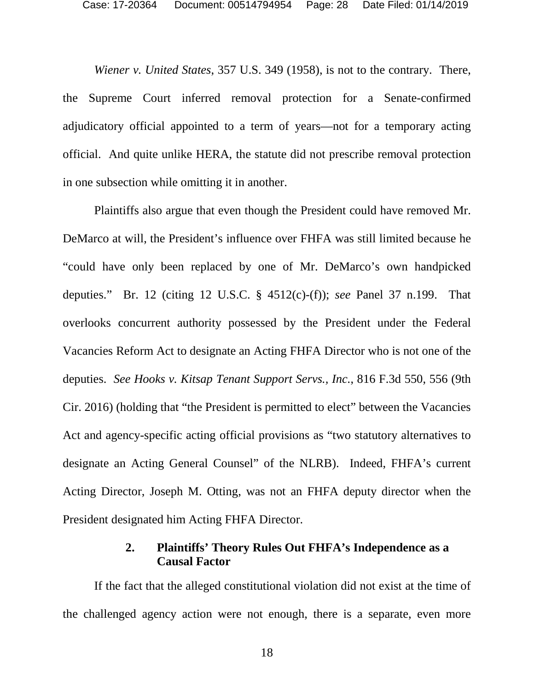*Wiener v. United States*, 357 U.S. 349 (1958), is not to the contrary. There, the Supreme Court inferred removal protection for a Senate-confirmed adjudicatory official appointed to a term of years—not for a temporary acting official. And quite unlike HERA, the statute did not prescribe removal protection in one subsection while omitting it in another.

Plaintiffs also argue that even though the President could have removed Mr. DeMarco at will, the President's influence over FHFA was still limited because he "could have only been replaced by one of Mr. DeMarco's own handpicked deputies." Br. 12 (citing 12 U.S.C. § 4512(c)-(f)); *see* Panel 37 n.199. That overlooks concurrent authority possessed by the President under the Federal Vacancies Reform Act to designate an Acting FHFA Director who is not one of the deputies. *See Hooks v. Kitsap Tenant Support Servs., Inc.*, 816 F.3d 550, 556 (9th Cir. 2016) (holding that "the President is permitted to elect" between the Vacancies Act and agency-specific acting official provisions as "two statutory alternatives to designate an Acting General Counsel" of the NLRB). Indeed, FHFA's current Acting Director, Joseph M. Otting, was not an FHFA deputy director when the President designated him Acting FHFA Director.

### **2. Plaintiffs' Theory Rules Out FHFA's Independence as a Causal Factor**

If the fact that the alleged constitutional violation did not exist at the time of the challenged agency action were not enough, there is a separate, even more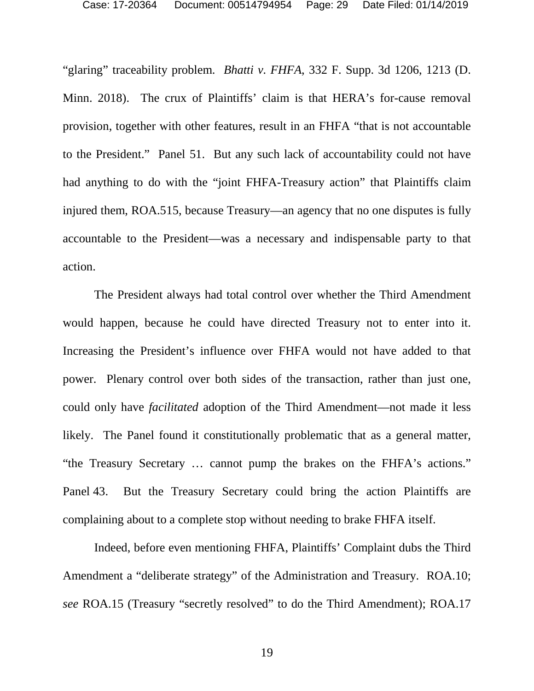"glaring" traceability problem. *Bhatti v. FHFA*, 332 F. Supp. 3d 1206, 1213 (D. Minn. 2018). The crux of Plaintiffs' claim is that HERA's for-cause removal provision, together with other features, result in an FHFA "that is not accountable to the President." Panel 51. But any such lack of accountability could not have had anything to do with the "joint FHFA-Treasury action" that Plaintiffs claim injured them, ROA.515, because Treasury—an agency that no one disputes is fully accountable to the President—was a necessary and indispensable party to that action.

The President always had total control over whether the Third Amendment would happen, because he could have directed Treasury not to enter into it. Increasing the President's influence over FHFA would not have added to that power. Plenary control over both sides of the transaction, rather than just one, could only have *facilitated* adoption of the Third Amendment—not made it less likely. The Panel found it constitutionally problematic that as a general matter, "the Treasury Secretary … cannot pump the brakes on the FHFA's actions." Panel 43. But the Treasury Secretary could bring the action Plaintiffs are complaining about to a complete stop without needing to brake FHFA itself.

Indeed, before even mentioning FHFA, Plaintiffs' Complaint dubs the Third Amendment a "deliberate strategy" of the Administration and Treasury. ROA.10; *see* ROA.15 (Treasury "secretly resolved" to do the Third Amendment); ROA.17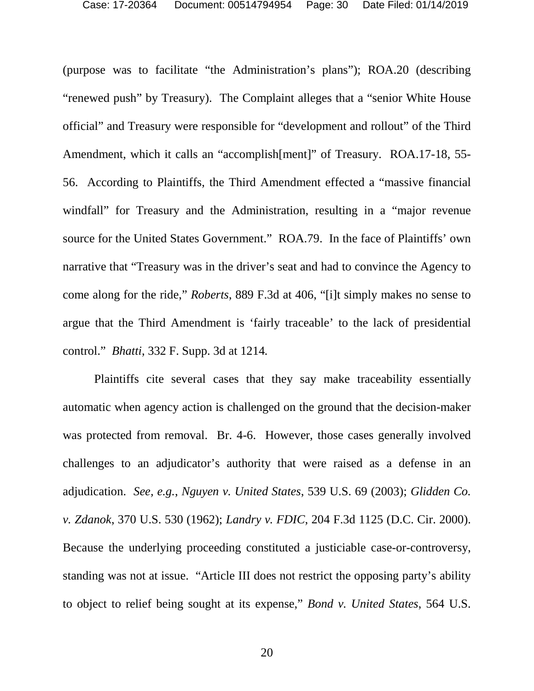(purpose was to facilitate "the Administration's plans"); ROA.20 (describing "renewed push" by Treasury). The Complaint alleges that a "senior White House official" and Treasury were responsible for "development and rollout" of the Third Amendment, which it calls an "accomplish[ment]" of Treasury. ROA.17-18, 55- 56. According to Plaintiffs, the Third Amendment effected a "massive financial windfall" for Treasury and the Administration, resulting in a "major revenue source for the United States Government." ROA.79. In the face of Plaintiffs' own narrative that "Treasury was in the driver's seat and had to convince the Agency to come along for the ride," *Roberts*, 889 F.3d at 406, "[i]t simply makes no sense to argue that the Third Amendment is 'fairly traceable' to the lack of presidential control." *Bhatti*, 332 F. Supp. 3d at 1214*.*

Plaintiffs cite several cases that they say make traceability essentially automatic when agency action is challenged on the ground that the decision-maker was protected from removal. Br. 4-6. However, those cases generally involved challenges to an adjudicator's authority that were raised as a defense in an adjudication. *See, e.g.*, *Nguyen v. United States*, 539 U.S. 69 (2003); *Glidden Co. v. Zdanok*, 370 U.S. 530 (1962); *Landry v. FDIC*, 204 F.3d 1125 (D.C. Cir. 2000). Because the underlying proceeding constituted a justiciable case-or-controversy, standing was not at issue. "Article III does not restrict the opposing party's ability to object to relief being sought at its expense," *Bond v. United States*, 564 U.S.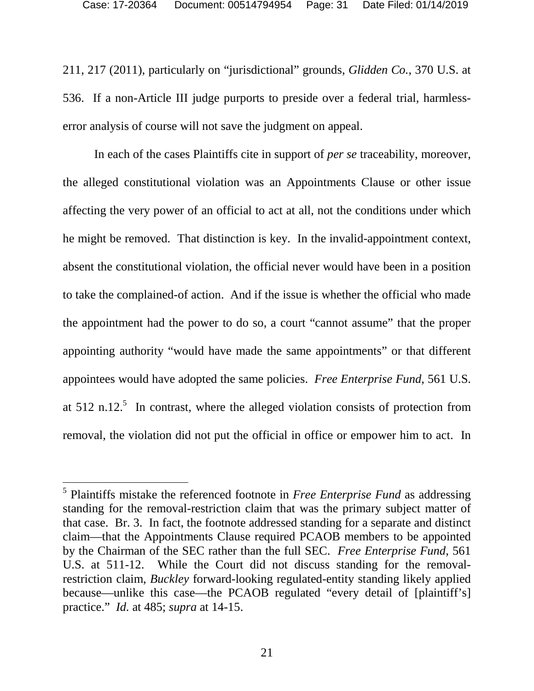211, 217 (2011), particularly on "jurisdictional" grounds, *Glidden Co.*, 370 U.S. at 536. If a non-Article III judge purports to preside over a federal trial, harmlesserror analysis of course will not save the judgment on appeal.

In each of the cases Plaintiffs cite in support of *per se* traceability, moreover, the alleged constitutional violation was an Appointments Clause or other issue affecting the very power of an official to act at all, not the conditions under which he might be removed. That distinction is key. In the invalid-appointment context, absent the constitutional violation, the official never would have been in a position to take the complained-of action. And if the issue is whether the official who made the appointment had the power to do so, a court "cannot assume" that the proper appointing authority "would have made the same appointments" or that different appointees would have adopted the same policies. *Free Enterprise Fund*, 561 U.S. at  $512$  n.12.<sup>5</sup> In contrast, where the alleged violation consists of protection from removal, the violation did not put the official in office or empower him to act. In

<sup>5</sup> Plaintiffs mistake the referenced footnote in *Free Enterprise Fund* as addressing standing for the removal-restriction claim that was the primary subject matter of that case. Br. 3. In fact, the footnote addressed standing for a separate and distinct claim—that the Appointments Clause required PCAOB members to be appointed by the Chairman of the SEC rather than the full SEC. *Free Enterprise Fund*, 561 U.S. at 511-12. While the Court did not discuss standing for the removalrestriction claim, *Buckley* forward-looking regulated-entity standing likely applied because—unlike this case—the PCAOB regulated "every detail of [plaintiff's] practice." *Id.* at 485; *supra* at 14-15.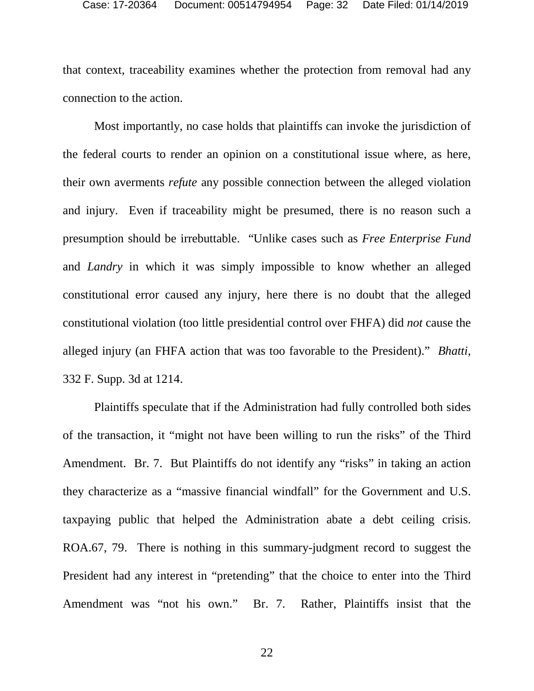that context, traceability examines whether the protection from removal had any connection to the action.

Most importantly, no case holds that plaintiffs can invoke the jurisdiction of the federal courts to render an opinion on a constitutional issue where, as here, their own averments *refute* any possible connection between the alleged violation and injury. Even if traceability might be presumed, there is no reason such a presumption should be irrebuttable. "Unlike cases such as *Free Enterprise Fund* and *Landry* in which it was simply impossible to know whether an alleged constitutional error caused any injury, here there is no doubt that the alleged constitutional violation (too little presidential control over FHFA) did *not* cause the alleged injury (an FHFA action that was too favorable to the President)." *Bhatti*, 332 F. Supp. 3d at 1214.

Plaintiffs speculate that if the Administration had fully controlled both sides of the transaction, it "might not have been willing to run the risks" of the Third Amendment. Br. 7. But Plaintiffs do not identify any "risks" in taking an action they characterize as a "massive financial windfall" for the Government and U.S. taxpaying public that helped the Administration abate a debt ceiling crisis. ROA.67, 79. There is nothing in this summary-judgment record to suggest the President had any interest in "pretending" that the choice to enter into the Third Amendment was "not his own." Br. 7. Rather, Plaintiffs insist that the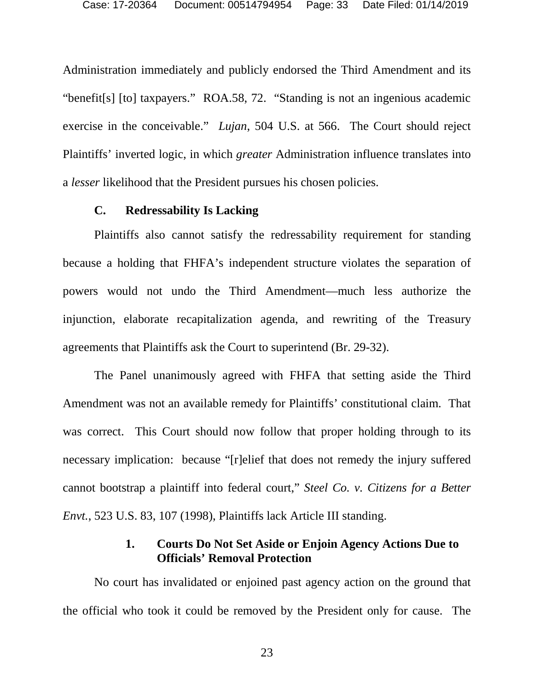Administration immediately and publicly endorsed the Third Amendment and its "benefit[s] [to] taxpayers." ROA.58, 72. "Standing is not an ingenious academic exercise in the conceivable." *Lujan*, 504 U.S. at 566. The Court should reject Plaintiffs' inverted logic, in which *greater* Administration influence translates into a *lesser* likelihood that the President pursues his chosen policies.

#### **C. Redressability Is Lacking**

Plaintiffs also cannot satisfy the redressability requirement for standing because a holding that FHFA's independent structure violates the separation of powers would not undo the Third Amendment—much less authorize the injunction, elaborate recapitalization agenda, and rewriting of the Treasury agreements that Plaintiffs ask the Court to superintend (Br. 29-32).

The Panel unanimously agreed with FHFA that setting aside the Third Amendment was not an available remedy for Plaintiffs' constitutional claim. That was correct. This Court should now follow that proper holding through to its necessary implication: because "[r]elief that does not remedy the injury suffered cannot bootstrap a plaintiff into federal court," *Steel Co. v. Citizens for a Better Envt.*, 523 U.S. 83, 107 (1998), Plaintiffs lack Article III standing.

### **1. Courts Do Not Set Aside or Enjoin Agency Actions Due to Officials' Removal Protection**

No court has invalidated or enjoined past agency action on the ground that the official who took it could be removed by the President only for cause. The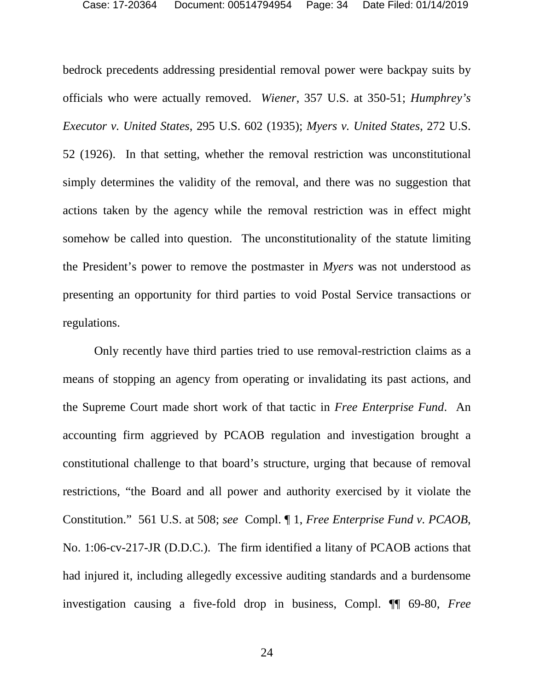bedrock precedents addressing presidential removal power were backpay suits by officials who were actually removed. *Wiener*, 357 U.S. at 350-51; *Humphrey's Executor v. United States*, 295 U.S. 602 (1935); *Myers v. United States*, 272 U.S. 52 (1926). In that setting, whether the removal restriction was unconstitutional simply determines the validity of the removal, and there was no suggestion that actions taken by the agency while the removal restriction was in effect might somehow be called into question. The unconstitutionality of the statute limiting the President's power to remove the postmaster in *Myers* was not understood as presenting an opportunity for third parties to void Postal Service transactions or regulations.

Only recently have third parties tried to use removal-restriction claims as a means of stopping an agency from operating or invalidating its past actions, and the Supreme Court made short work of that tactic in *Free Enterprise Fund*. An accounting firm aggrieved by PCAOB regulation and investigation brought a constitutional challenge to that board's structure, urging that because of removal restrictions, "the Board and all power and authority exercised by it violate the Constitution." 561 U.S. at 508; *see* Compl. ¶ 1, *Free Enterprise Fund v. PCAOB*, No. 1:06-cv-217-JR (D.D.C.). The firm identified a litany of PCAOB actions that had injured it, including allegedly excessive auditing standards and a burdensome investigation causing a five-fold drop in business, Compl. ¶¶ 69-80, *Free*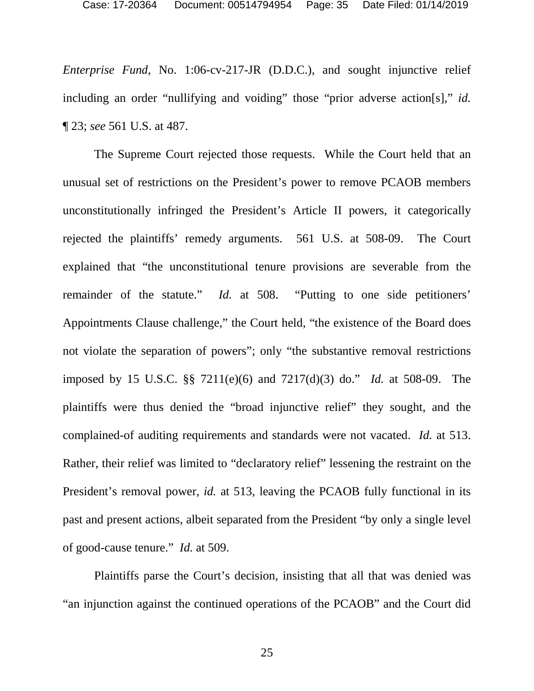*Enterprise Fund*, No. 1:06-cv-217-JR (D.D.C.), and sought injunctive relief including an order "nullifying and voiding" those "prior adverse action[s]," *id.* ¶ 23; *see* 561 U.S. at 487.

The Supreme Court rejected those requests. While the Court held that an unusual set of restrictions on the President's power to remove PCAOB members unconstitutionally infringed the President's Article II powers, it categorically rejected the plaintiffs' remedy arguments. 561 U.S. at 508-09. The Court explained that "the unconstitutional tenure provisions are severable from the remainder of the statute." *Id.* at 508. "Putting to one side petitioners' Appointments Clause challenge," the Court held, "the existence of the Board does not violate the separation of powers"; only "the substantive removal restrictions imposed by 15 U.S.C. §§ 7211(e)(6) and 7217(d)(3) do." *Id.* at 508-09. The plaintiffs were thus denied the "broad injunctive relief" they sought, and the complained-of auditing requirements and standards were not vacated. *Id.* at 513. Rather, their relief was limited to "declaratory relief" lessening the restraint on the President's removal power, *id.* at 513, leaving the PCAOB fully functional in its past and present actions, albeit separated from the President "by only a single level of good-cause tenure." *Id.* at 509.

Plaintiffs parse the Court's decision, insisting that all that was denied was "an injunction against the continued operations of the PCAOB" and the Court did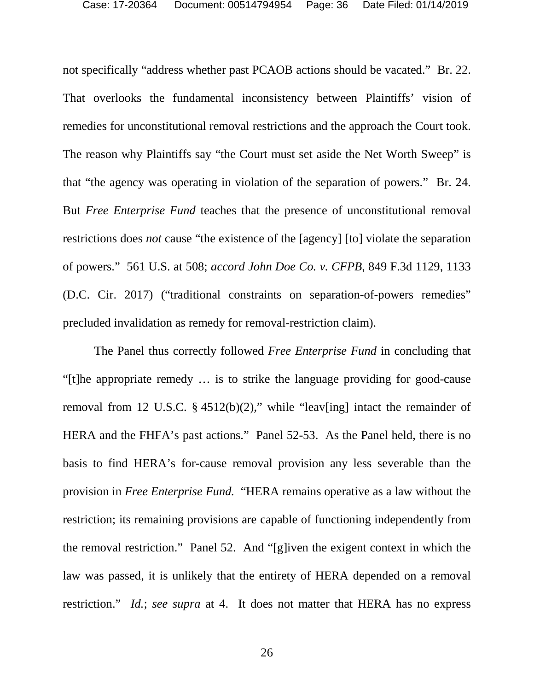not specifically "address whether past PCAOB actions should be vacated." Br. 22. That overlooks the fundamental inconsistency between Plaintiffs' vision of remedies for unconstitutional removal restrictions and the approach the Court took. The reason why Plaintiffs say "the Court must set aside the Net Worth Sweep" is that "the agency was operating in violation of the separation of powers." Br. 24. But *Free Enterprise Fund* teaches that the presence of unconstitutional removal restrictions does *not* cause "the existence of the [agency] [to] violate the separation of powers." 561 U.S. at 508; *accord John Doe Co. v. CFPB*, 849 F.3d 1129, 1133 (D.C. Cir. 2017) ("traditional constraints on separation-of-powers remedies" precluded invalidation as remedy for removal-restriction claim).

The Panel thus correctly followed *Free Enterprise Fund* in concluding that "[t]he appropriate remedy … is to strike the language providing for good-cause removal from 12 U.S.C.  $\S$  4512(b)(2)," while "leav[ing] intact the remainder of HERA and the FHFA's past actions." Panel 52-53. As the Panel held, there is no basis to find HERA's for-cause removal provision any less severable than the provision in *Free Enterprise Fund.* "HERA remains operative as a law without the restriction; its remaining provisions are capable of functioning independently from the removal restriction." Panel 52. And "[g]iven the exigent context in which the law was passed, it is unlikely that the entirety of HERA depended on a removal restriction." *Id.*; *see supra* at 4. It does not matter that HERA has no express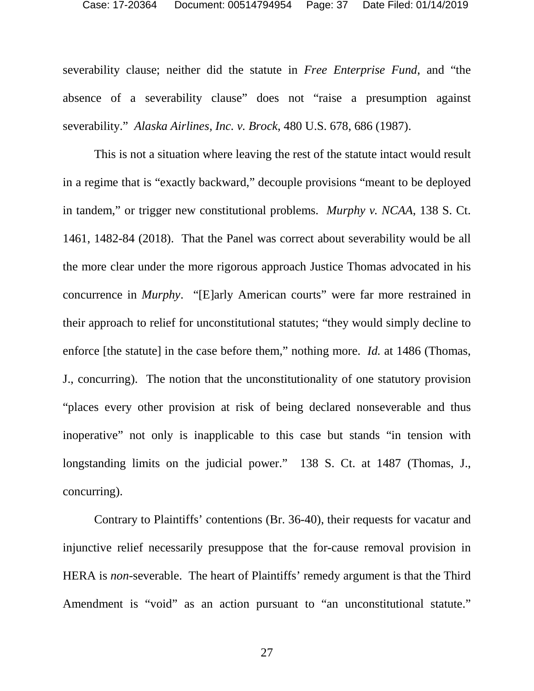severability clause; neither did the statute in *Free Enterprise Fund*, and "the absence of a severability clause" does not "raise a presumption against severability." *Alaska Airlines, Inc. v. Brock*, 480 U.S. 678, 686 (1987).

This is not a situation where leaving the rest of the statute intact would result in a regime that is "exactly backward," decouple provisions "meant to be deployed in tandem," or trigger new constitutional problems. *Murphy v. NCAA*, 138 S. Ct. 1461, 1482-84 (2018). That the Panel was correct about severability would be all the more clear under the more rigorous approach Justice Thomas advocated in his concurrence in *Murphy*. "[E]arly American courts" were far more restrained in their approach to relief for unconstitutional statutes; "they would simply decline to enforce [the statute] in the case before them," nothing more. *Id.* at 1486 (Thomas, J., concurring). The notion that the unconstitutionality of one statutory provision "places every other provision at risk of being declared nonseverable and thus inoperative" not only is inapplicable to this case but stands "in tension with longstanding limits on the judicial power." 138 S. Ct. at 1487 (Thomas, J., concurring).

Contrary to Plaintiffs' contentions (Br. 36-40), their requests for vacatur and injunctive relief necessarily presuppose that the for-cause removal provision in HERA is *non-*severable. The heart of Plaintiffs' remedy argument is that the Third Amendment is "void" as an action pursuant to "an unconstitutional statute."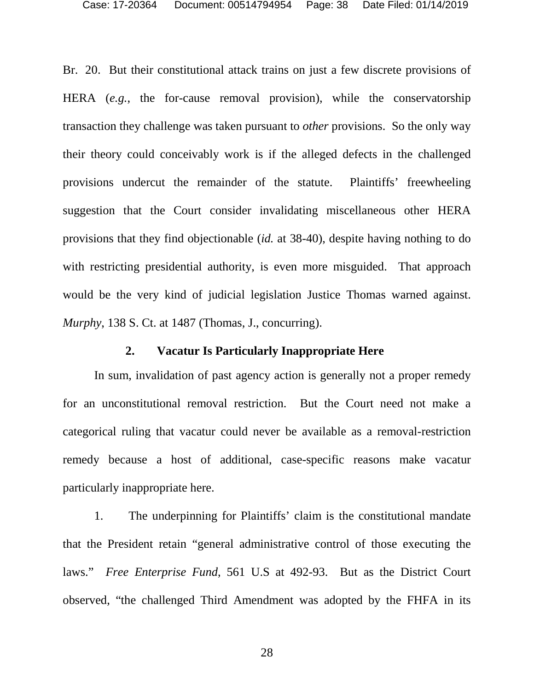Br. 20. But their constitutional attack trains on just a few discrete provisions of HERA (*e.g.*, the for-cause removal provision), while the conservatorship transaction they challenge was taken pursuant to *other* provisions. So the only way their theory could conceivably work is if the alleged defects in the challenged provisions undercut the remainder of the statute. Plaintiffs' freewheeling suggestion that the Court consider invalidating miscellaneous other HERA provisions that they find objectionable (*id.* at 38-40), despite having nothing to do with restricting presidential authority, is even more misguided. That approach would be the very kind of judicial legislation Justice Thomas warned against. *Murphy*, 138 S. Ct. at 1487 (Thomas, J., concurring).

### **2. Vacatur Is Particularly Inappropriate Here**

In sum, invalidation of past agency action is generally not a proper remedy for an unconstitutional removal restriction. But the Court need not make a categorical ruling that vacatur could never be available as a removal-restriction remedy because a host of additional, case-specific reasons make vacatur particularly inappropriate here.

1. The underpinning for Plaintiffs' claim is the constitutional mandate that the President retain "general administrative control of those executing the laws." *Free Enterprise Fund*, 561 U.S at 492-93. But as the District Court observed, "the challenged Third Amendment was adopted by the FHFA in its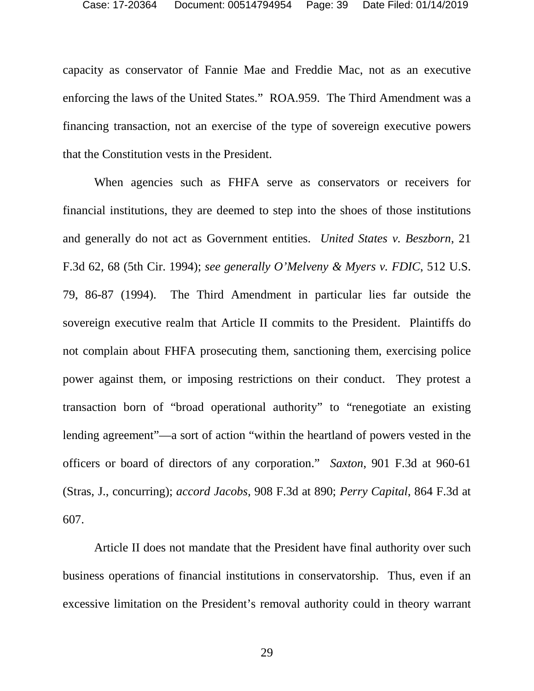capacity as conservator of Fannie Mae and Freddie Mac, not as an executive enforcing the laws of the United States." ROA.959. The Third Amendment was a financing transaction, not an exercise of the type of sovereign executive powers that the Constitution vests in the President.

When agencies such as FHFA serve as conservators or receivers for financial institutions, they are deemed to step into the shoes of those institutions and generally do not act as Government entities. *United States v. Beszborn*, 21 F.3d 62, 68 (5th Cir. 1994); *see generally O'Melveny & Myers v. FDIC*, 512 U.S. 79, 86-87 (1994). The Third Amendment in particular lies far outside the sovereign executive realm that Article II commits to the President. Plaintiffs do not complain about FHFA prosecuting them, sanctioning them, exercising police power against them, or imposing restrictions on their conduct. They protest a transaction born of "broad operational authority" to "renegotiate an existing lending agreement"—a sort of action "within the heartland of powers vested in the officers or board of directors of any corporation." *Saxton*, 901 F.3d at 960-61 (Stras, J., concurring); *accord Jacobs*, 908 F.3d at 890; *Perry Capital*, 864 F.3d at 607.

Article II does not mandate that the President have final authority over such business operations of financial institutions in conservatorship. Thus, even if an excessive limitation on the President's removal authority could in theory warrant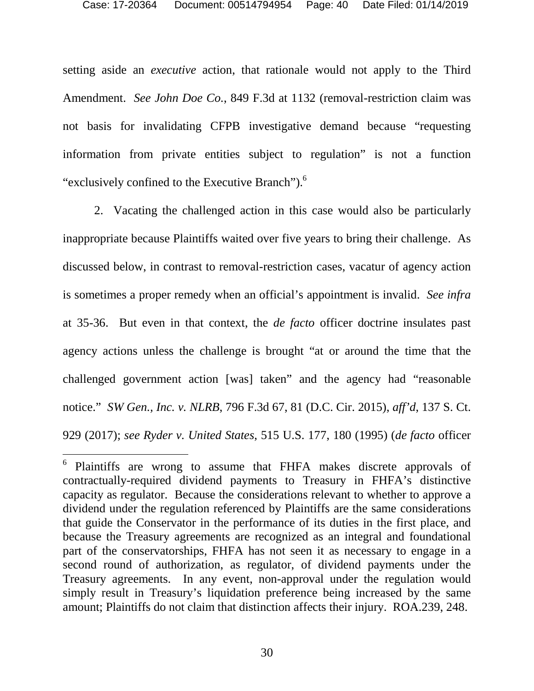setting aside an *executive* action, that rationale would not apply to the Third Amendment. *See John Doe Co.*, 849 F.3d at 1132 (removal-restriction claim was not basis for invalidating CFPB investigative demand because "requesting information from private entities subject to regulation" is not a function "exclusively confined to the Executive Branch").<sup>6</sup>

2. Vacating the challenged action in this case would also be particularly inappropriate because Plaintiffs waited over five years to bring their challenge. As discussed below, in contrast to removal-restriction cases, vacatur of agency action is sometimes a proper remedy when an official's appointment is invalid. *See infra* at 35-36. But even in that context, the *de facto* officer doctrine insulates past agency actions unless the challenge is brought "at or around the time that the challenged government action [was] taken" and the agency had "reasonable notice." *SW Gen., Inc. v. NLRB*, 796 F.3d 67, 81 (D.C. Cir. 2015), *aff'd*, 137 S. Ct. 929 (2017); *see Ryder v. United States*, 515 U.S. 177, 180 (1995) (*de facto* officer

<sup>6</sup> Plaintiffs are wrong to assume that FHFA makes discrete approvals of contractually-required dividend payments to Treasury in FHFA's distinctive capacity as regulator. Because the considerations relevant to whether to approve a dividend under the regulation referenced by Plaintiffs are the same considerations that guide the Conservator in the performance of its duties in the first place, and because the Treasury agreements are recognized as an integral and foundational part of the conservatorships, FHFA has not seen it as necessary to engage in a second round of authorization, as regulator, of dividend payments under the Treasury agreements. In any event, non-approval under the regulation would simply result in Treasury's liquidation preference being increased by the same amount; Plaintiffs do not claim that distinction affects their injury. ROA.239, 248.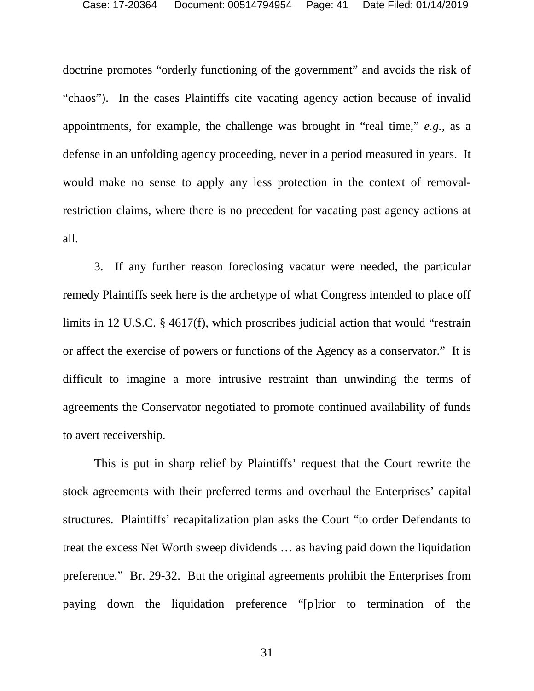doctrine promotes "orderly functioning of the government" and avoids the risk of "chaos"). In the cases Plaintiffs cite vacating agency action because of invalid appointments, for example, the challenge was brought in "real time," *e.g.*, as a defense in an unfolding agency proceeding, never in a period measured in years. It would make no sense to apply any less protection in the context of removalrestriction claims, where there is no precedent for vacating past agency actions at all.

3. If any further reason foreclosing vacatur were needed, the particular remedy Plaintiffs seek here is the archetype of what Congress intended to place off limits in 12 U.S.C. § 4617(f), which proscribes judicial action that would "restrain or affect the exercise of powers or functions of the Agency as a conservator." It is difficult to imagine a more intrusive restraint than unwinding the terms of agreements the Conservator negotiated to promote continued availability of funds to avert receivership.

This is put in sharp relief by Plaintiffs' request that the Court rewrite the stock agreements with their preferred terms and overhaul the Enterprises' capital structures. Plaintiffs' recapitalization plan asks the Court "to order Defendants to treat the excess Net Worth sweep dividends … as having paid down the liquidation preference." Br. 29-32. But the original agreements prohibit the Enterprises from paying down the liquidation preference "[p]rior to termination of the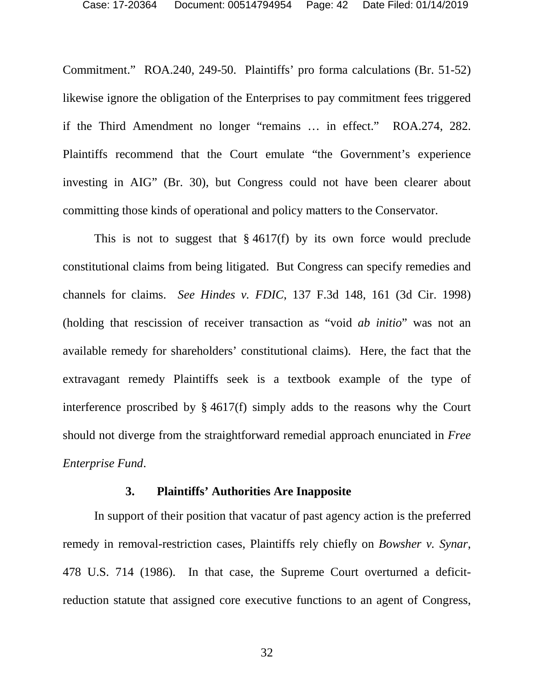Commitment." ROA.240, 249-50. Plaintiffs' pro forma calculations (Br. 51-52) likewise ignore the obligation of the Enterprises to pay commitment fees triggered if the Third Amendment no longer "remains … in effect." ROA.274, 282. Plaintiffs recommend that the Court emulate "the Government's experience investing in AIG" (Br. 30), but Congress could not have been clearer about committing those kinds of operational and policy matters to the Conservator.

This is not to suggest that  $\S 4617(f)$  by its own force would preclude constitutional claims from being litigated. But Congress can specify remedies and channels for claims. *See Hindes v. FDIC*, 137 F.3d 148, 161 (3d Cir. 1998) (holding that rescission of receiver transaction as "void *ab initio*" was not an available remedy for shareholders' constitutional claims). Here, the fact that the extravagant remedy Plaintiffs seek is a textbook example of the type of interference proscribed by § 4617(f) simply adds to the reasons why the Court should not diverge from the straightforward remedial approach enunciated in *Free Enterprise Fund*.

#### **3. Plaintiffs' Authorities Are Inapposite**

In support of their position that vacatur of past agency action is the preferred remedy in removal-restriction cases, Plaintiffs rely chiefly on *Bowsher v. Synar*, 478 U.S. 714 (1986). In that case, the Supreme Court overturned a deficitreduction statute that assigned core executive functions to an agent of Congress,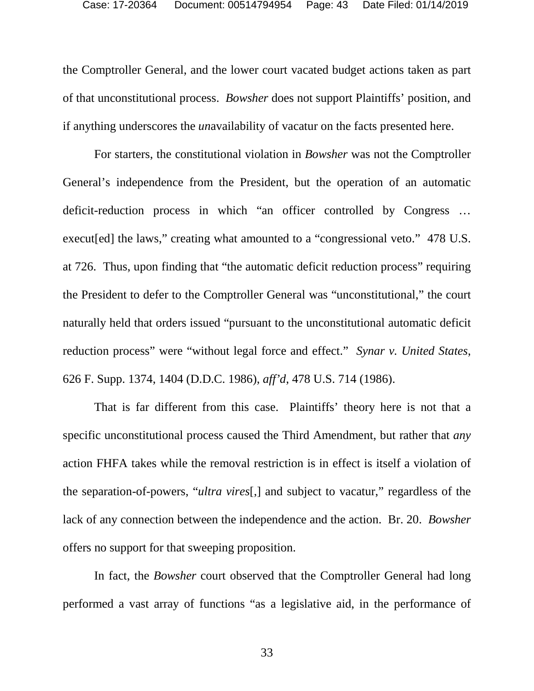the Comptroller General, and the lower court vacated budget actions taken as part of that unconstitutional process. *Bowsher* does not support Plaintiffs' position, and if anything underscores the *un*availability of vacatur on the facts presented here.

For starters, the constitutional violation in *Bowsher* was not the Comptroller General's independence from the President, but the operation of an automatic deficit-reduction process in which "an officer controlled by Congress … execut[ed] the laws," creating what amounted to a "congressional veto." 478 U.S. at 726. Thus, upon finding that "the automatic deficit reduction process" requiring the President to defer to the Comptroller General was "unconstitutional," the court naturally held that orders issued "pursuant to the unconstitutional automatic deficit reduction process" were "without legal force and effect." *Synar v. United States*, 626 F. Supp. 1374, 1404 (D.D.C. 1986), *aff'd*, 478 U.S. 714 (1986).

That is far different from this case. Plaintiffs' theory here is not that a specific unconstitutional process caused the Third Amendment, but rather that *any* action FHFA takes while the removal restriction is in effect is itself a violation of the separation-of-powers, "*ultra vires*[,] and subject to vacatur," regardless of the lack of any connection between the independence and the action. Br. 20. *Bowsher* offers no support for that sweeping proposition.

In fact, the *Bowsher* court observed that the Comptroller General had long performed a vast array of functions "as a legislative aid, in the performance of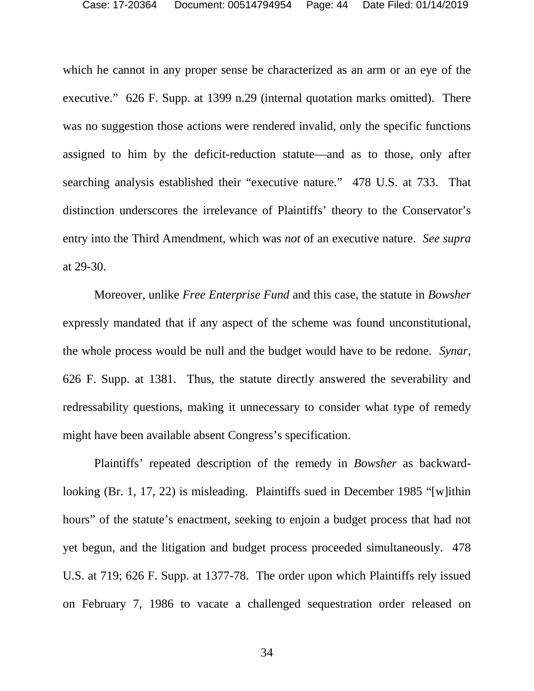which he cannot in any proper sense be characterized as an arm or an eye of the executive." 626 F. Supp. at 1399 n.29 (internal quotation marks omitted). There was no suggestion those actions were rendered invalid, only the specific functions assigned to him by the deficit-reduction statute—and as to those, only after searching analysis established their "executive nature." 478 U.S. at 733. That distinction underscores the irrelevance of Plaintiffs' theory to the Conservator's entry into the Third Amendment, which was *not* of an executive nature. *See supra* at 29-30.

Moreover, unlike *Free Enterprise Fund* and this case, the statute in *Bowsher* expressly mandated that if any aspect of the scheme was found unconstitutional, the whole process would be null and the budget would have to be redone. *Synar*, 626 F. Supp. at 1381. Thus, the statute directly answered the severability and redressability questions, making it unnecessary to consider what type of remedy might have been available absent Congress's specification.

Plaintiffs' repeated description of the remedy in *Bowsher* as backwardlooking (Br. 1, 17, 22) is misleading. Plaintiffs sued in December 1985 "[w]ithin hours" of the statute's enactment, seeking to enjoin a budget process that had not yet begun, and the litigation and budget process proceeded simultaneously. 478 U.S. at 719; 626 F. Supp. at 1377-78. The order upon which Plaintiffs rely issued on February 7, 1986 to vacate a challenged sequestration order released on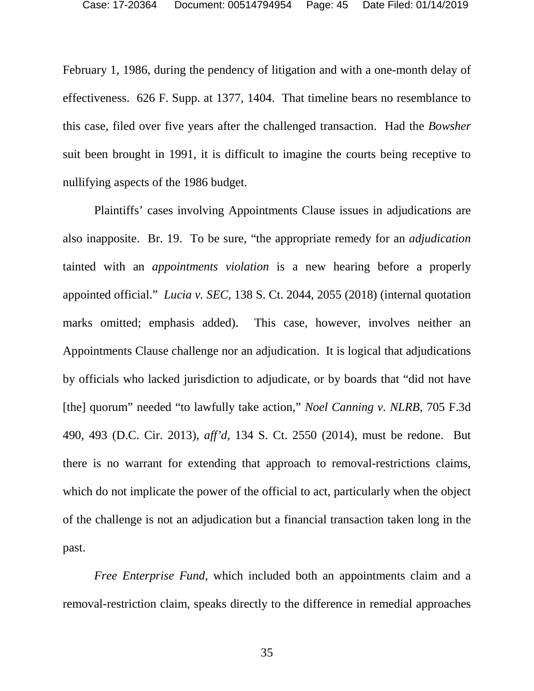February 1, 1986, during the pendency of litigation and with a one-month delay of effectiveness. 626 F. Supp. at 1377, 1404. That timeline bears no resemblance to this case, filed over five years after the challenged transaction. Had the *Bowsher* suit been brought in 1991, it is difficult to imagine the courts being receptive to nullifying aspects of the 1986 budget.

Plaintiffs' cases involving Appointments Clause issues in adjudications are also inapposite. Br. 19. To be sure, "the appropriate remedy for an *adjudication* tainted with an *appointments violation* is a new hearing before a properly appointed official." *Lucia v. SEC*, 138 S. Ct. 2044, 2055 (2018) (internal quotation marks omitted; emphasis added). This case, however, involves neither an Appointments Clause challenge nor an adjudication. It is logical that adjudications by officials who lacked jurisdiction to adjudicate, or by boards that "did not have [the] quorum" needed "to lawfully take action," *Noel Canning v. NLRB*, 705 F.3d 490, 493 (D.C. Cir. 2013), *aff'd*, 134 S. Ct. 2550 (2014), must be redone. But there is no warrant for extending that approach to removal-restrictions claims, which do not implicate the power of the official to act, particularly when the object of the challenge is not an adjudication but a financial transaction taken long in the past.

*Free Enterprise Fund*, which included both an appointments claim and a removal-restriction claim, speaks directly to the difference in remedial approaches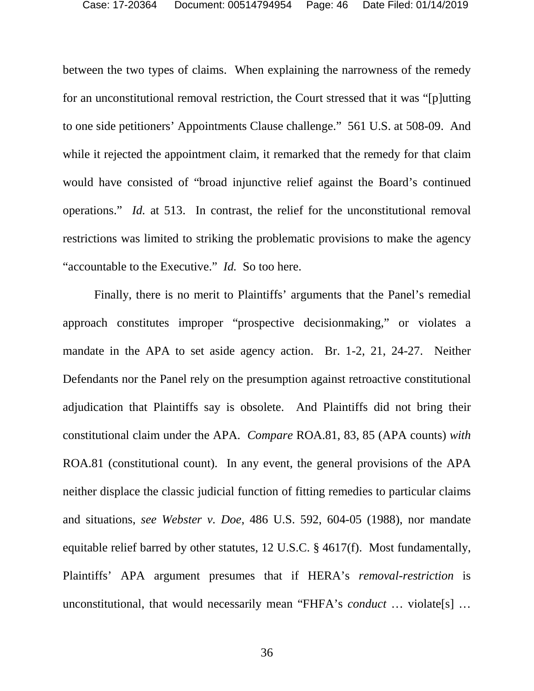between the two types of claims. When explaining the narrowness of the remedy for an unconstitutional removal restriction, the Court stressed that it was "[p]utting to one side petitioners' Appointments Clause challenge." 561 U.S. at 508-09. And while it rejected the appointment claim, it remarked that the remedy for that claim would have consisted of "broad injunctive relief against the Board's continued operations." *Id.* at 513. In contrast, the relief for the unconstitutional removal restrictions was limited to striking the problematic provisions to make the agency "accountable to the Executive." *Id.* So too here.

Finally, there is no merit to Plaintiffs' arguments that the Panel's remedial approach constitutes improper "prospective decisionmaking," or violates a mandate in the APA to set aside agency action. Br. 1-2, 21, 24-27. Neither Defendants nor the Panel rely on the presumption against retroactive constitutional adjudication that Plaintiffs say is obsolete. And Plaintiffs did not bring their constitutional claim under the APA. *Compare* ROA.81, 83, 85 (APA counts) *with* ROA.81 (constitutional count). In any event, the general provisions of the APA neither displace the classic judicial function of fitting remedies to particular claims and situations, *see Webster v. Doe*, 486 U.S. 592, 604-05 (1988), nor mandate equitable relief barred by other statutes, 12 U.S.C. § 4617(f). Most fundamentally, Plaintiffs' APA argument presumes that if HERA's *removal-restriction* is unconstitutional, that would necessarily mean "FHFA's *conduct* … violate[s] …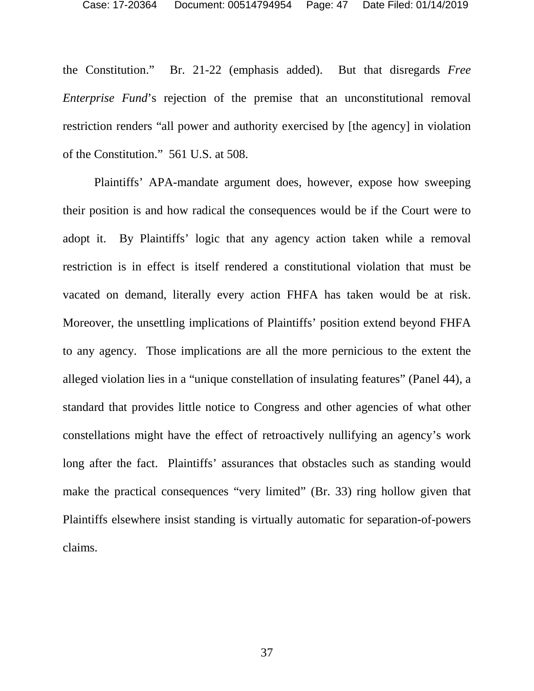the Constitution." Br. 21-22 (emphasis added). But that disregards *Free Enterprise Fund*'s rejection of the premise that an unconstitutional removal restriction renders "all power and authority exercised by [the agency] in violation of the Constitution." 561 U.S. at 508.

Plaintiffs' APA-mandate argument does, however, expose how sweeping their position is and how radical the consequences would be if the Court were to adopt it. By Plaintiffs' logic that any agency action taken while a removal restriction is in effect is itself rendered a constitutional violation that must be vacated on demand, literally every action FHFA has taken would be at risk. Moreover, the unsettling implications of Plaintiffs' position extend beyond FHFA to any agency. Those implications are all the more pernicious to the extent the alleged violation lies in a "unique constellation of insulating features" (Panel 44), a standard that provides little notice to Congress and other agencies of what other constellations might have the effect of retroactively nullifying an agency's work long after the fact. Plaintiffs' assurances that obstacles such as standing would make the practical consequences "very limited" (Br. 33) ring hollow given that Plaintiffs elsewhere insist standing is virtually automatic for separation-of-powers claims.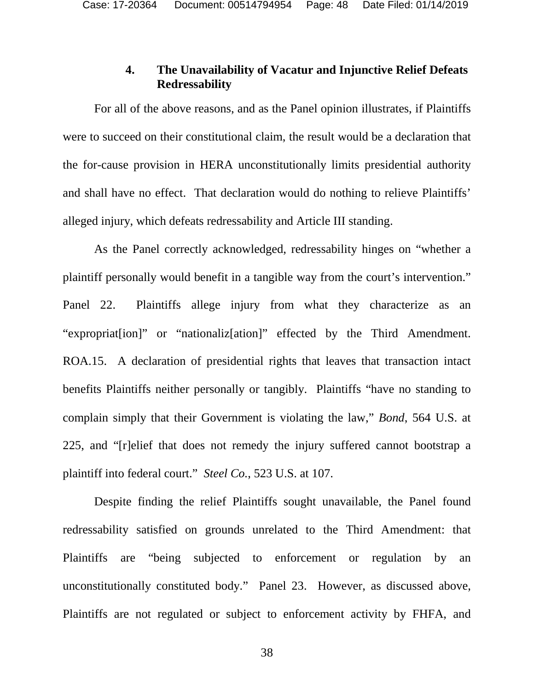## **4. The Unavailability of Vacatur and Injunctive Relief Defeats Redressability**

For all of the above reasons, and as the Panel opinion illustrates, if Plaintiffs were to succeed on their constitutional claim, the result would be a declaration that the for-cause provision in HERA unconstitutionally limits presidential authority and shall have no effect. That declaration would do nothing to relieve Plaintiffs' alleged injury, which defeats redressability and Article III standing.

As the Panel correctly acknowledged, redressability hinges on "whether a plaintiff personally would benefit in a tangible way from the court's intervention." Panel 22. Plaintiffs allege injury from what they characterize as an "expropriat[ion]" or "nationaliz[ation]" effected by the Third Amendment. ROA.15. A declaration of presidential rights that leaves that transaction intact benefits Plaintiffs neither personally or tangibly. Plaintiffs "have no standing to complain simply that their Government is violating the law," *Bond*, 564 U.S. at 225, and "[r]elief that does not remedy the injury suffered cannot bootstrap a plaintiff into federal court." *Steel Co.*, 523 U.S. at 107.

Despite finding the relief Plaintiffs sought unavailable, the Panel found redressability satisfied on grounds unrelated to the Third Amendment: that Plaintiffs are "being subjected to enforcement or regulation by an unconstitutionally constituted body." Panel 23. However, as discussed above, Plaintiffs are not regulated or subject to enforcement activity by FHFA, and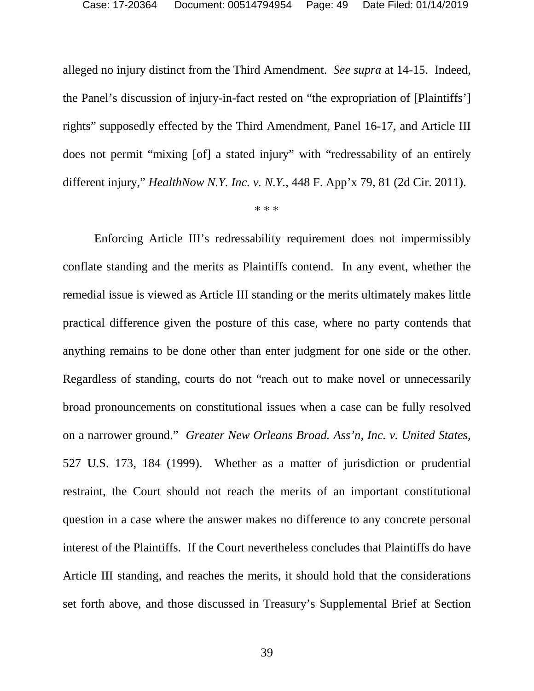alleged no injury distinct from the Third Amendment. *See supra* at 14-15. Indeed, the Panel's discussion of injury-in-fact rested on "the expropriation of [Plaintiffs'] rights" supposedly effected by the Third Amendment, Panel 16-17, and Article III does not permit "mixing [of] a stated injury" with "redressability of an entirely different injury," *HealthNow N.Y. Inc. v. N.Y.*, 448 F. App'x 79, 81 (2d Cir. 2011).

\* \* \*

Enforcing Article III's redressability requirement does not impermissibly conflate standing and the merits as Plaintiffs contend. In any event, whether the remedial issue is viewed as Article III standing or the merits ultimately makes little practical difference given the posture of this case, where no party contends that anything remains to be done other than enter judgment for one side or the other. Regardless of standing, courts do not "reach out to make novel or unnecessarily broad pronouncements on constitutional issues when a case can be fully resolved on a narrower ground." *Greater New Orleans Broad. Ass'n, Inc. v. United States*, 527 U.S. 173, 184 (1999). Whether as a matter of jurisdiction or prudential restraint, the Court should not reach the merits of an important constitutional question in a case where the answer makes no difference to any concrete personal interest of the Plaintiffs. If the Court nevertheless concludes that Plaintiffs do have Article III standing, and reaches the merits, it should hold that the considerations set forth above, and those discussed in Treasury's Supplemental Brief at Section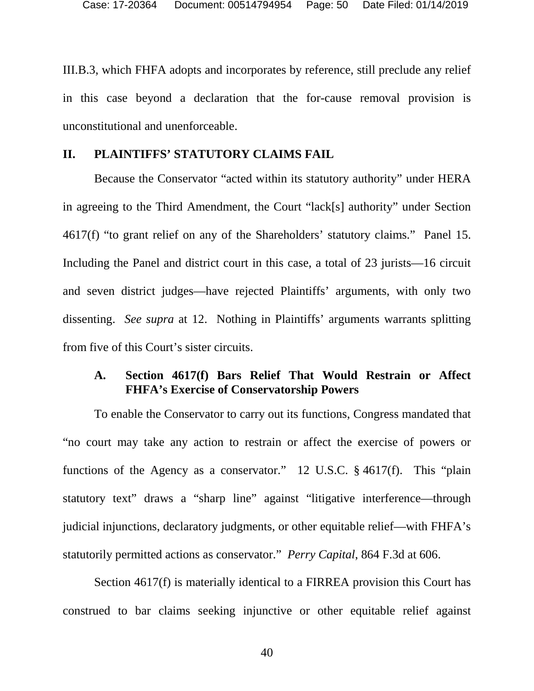III.B.3, which FHFA adopts and incorporates by reference, still preclude any relief in this case beyond a declaration that the for-cause removal provision is unconstitutional and unenforceable.

### **II. PLAINTIFFS' STATUTORY CLAIMS FAIL**

Because the Conservator "acted within its statutory authority" under HERA in agreeing to the Third Amendment, the Court "lack[s] authority" under Section 4617(f) "to grant relief on any of the Shareholders' statutory claims." Panel 15. Including the Panel and district court in this case, a total of 23 jurists—16 circuit and seven district judges—have rejected Plaintiffs' arguments, with only two dissenting. *See supra* at 12. Nothing in Plaintiffs' arguments warrants splitting from five of this Court's sister circuits.

## **A. Section 4617(f) Bars Relief That Would Restrain or Affect FHFA's Exercise of Conservatorship Powers**

To enable the Conservator to carry out its functions, Congress mandated that "no court may take any action to restrain or affect the exercise of powers or functions of the Agency as a conservator." 12 U.S.C. § 4617(f). This "plain statutory text" draws a "sharp line" against "litigative interference—through judicial injunctions, declaratory judgments, or other equitable relief—with FHFA's statutorily permitted actions as conservator." *Perry Capital*, 864 F.3d at 606.

Section 4617(f) is materially identical to a FIRREA provision this Court has construed to bar claims seeking injunctive or other equitable relief against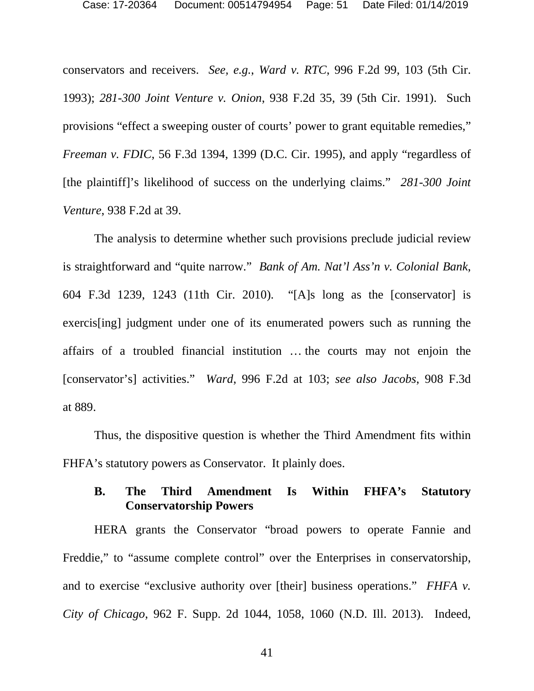conservators and receivers. *See, e.g.*, *Ward v. RTC*, 996 F.2d 99, 103 (5th Cir. 1993); *281-300 Joint Venture v. Onion*, 938 F.2d 35, 39 (5th Cir. 1991). Such provisions "effect a sweeping ouster of courts' power to grant equitable remedies," *Freeman v. FDIC*, 56 F.3d 1394, 1399 (D.C. Cir. 1995), and apply "regardless of [the plaintiff]'s likelihood of success on the underlying claims." *281-300 Joint Venture*, 938 F.2d at 39.

The analysis to determine whether such provisions preclude judicial review is straightforward and "quite narrow." *Bank of Am. Nat'l Ass'n v. Colonial Bank*, 604 F.3d 1239, 1243 (11th Cir. 2010). "[A]s long as the [conservator] is exercis[ing] judgment under one of its enumerated powers such as running the affairs of a troubled financial institution … the courts may not enjoin the [conservator's] activities." *Ward*, 996 F.2d at 103; *see also Jacobs*, 908 F.3d at 889.

Thus, the dispositive question is whether the Third Amendment fits within FHFA's statutory powers as Conservator. It plainly does.

## **B. The Third Amendment Is Within FHFA's Statutory Conservatorship Powers**

HERA grants the Conservator "broad powers to operate Fannie and Freddie," to "assume complete control" over the Enterprises in conservatorship, and to exercise "exclusive authority over [their] business operations." *FHFA v. City of Chicago*, 962 F. Supp. 2d 1044, 1058, 1060 (N.D. Ill. 2013). Indeed,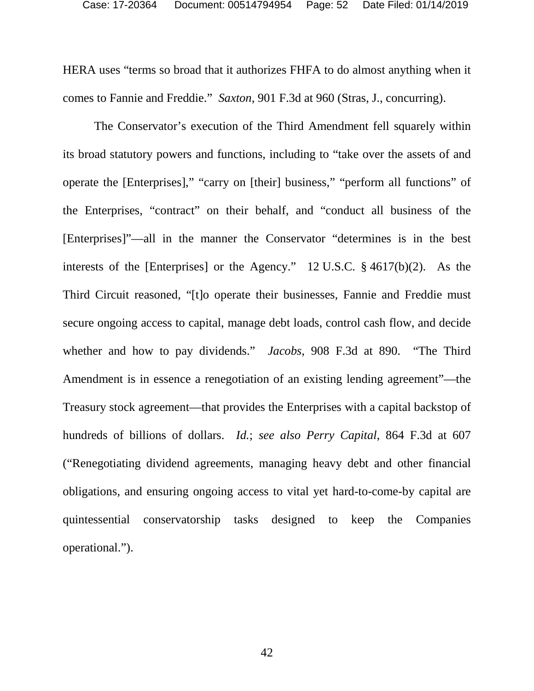HERA uses "terms so broad that it authorizes FHFA to do almost anything when it comes to Fannie and Freddie." *Saxton*, 901 F.3d at 960 (Stras, J., concurring).

The Conservator's execution of the Third Amendment fell squarely within its broad statutory powers and functions, including to "take over the assets of and operate the [Enterprises]," "carry on [their] business," "perform all functions" of the Enterprises, "contract" on their behalf, and "conduct all business of the [Enterprises]"—all in the manner the Conservator "determines is in the best interests of the [Enterprises] or the Agency." 12 U.S.C. § 4617(b)(2). As the Third Circuit reasoned, "[t]o operate their businesses, Fannie and Freddie must secure ongoing access to capital, manage debt loads, control cash flow, and decide whether and how to pay dividends." *Jacobs*, 908 F.3d at 890. "The Third Amendment is in essence a renegotiation of an existing lending agreement"—the Treasury stock agreement—that provides the Enterprises with a capital backstop of hundreds of billions of dollars. *Id.*; *see also Perry Capital*, 864 F.3d at 607 ("Renegotiating dividend agreements, managing heavy debt and other financial obligations, and ensuring ongoing access to vital yet hard-to-come-by capital are quintessential conservatorship tasks designed to keep the Companies operational.").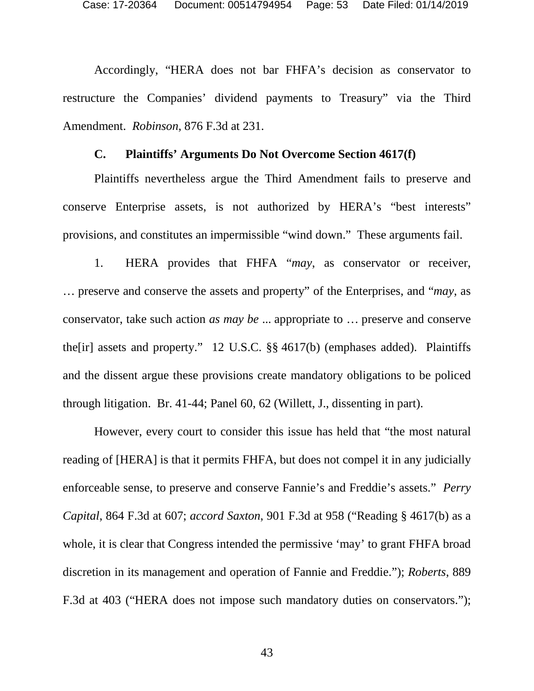Accordingly, "HERA does not bar FHFA's decision as conservator to restructure the Companies' dividend payments to Treasury" via the Third Amendment. *Robinson*, 876 F.3d at 231.

#### **C. Plaintiffs' Arguments Do Not Overcome Section 4617(f)**

Plaintiffs nevertheless argue the Third Amendment fails to preserve and conserve Enterprise assets, is not authorized by HERA's "best interests" provisions, and constitutes an impermissible "wind down." These arguments fail.

1. HERA provides that FHFA "*may*, as conservator or receiver, … preserve and conserve the assets and property" of the Enterprises, and "*may*, as conservator, take such action *as may be* ... appropriate to … preserve and conserve the[ir] assets and property." 12 U.S.C. §§ 4617(b) (emphases added). Plaintiffs and the dissent argue these provisions create mandatory obligations to be policed through litigation. Br. 41-44; Panel 60, 62 (Willett, J., dissenting in part).

However, every court to consider this issue has held that "the most natural reading of [HERA] is that it permits FHFA, but does not compel it in any judicially enforceable sense, to preserve and conserve Fannie's and Freddie's assets." *Perry Capital*, 864 F.3d at 607; *accord Saxton*, 901 F.3d at 958 ("Reading § 4617(b) as a whole, it is clear that Congress intended the permissive 'may' to grant FHFA broad discretion in its management and operation of Fannie and Freddie."); *Roberts*, 889 F.3d at 403 ("HERA does not impose such mandatory duties on conservators.");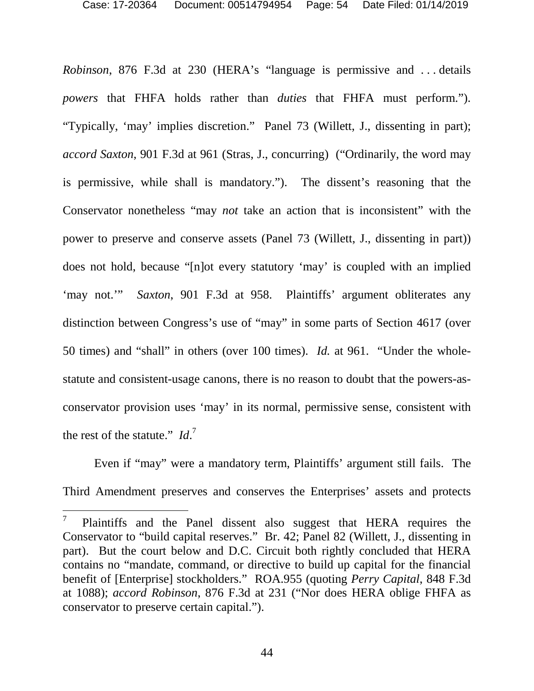*Robinson*, 876 F.3d at 230 (HERA's "language is permissive and . . . details *powers* that FHFA holds rather than *duties* that FHFA must perform."). "Typically, 'may' implies discretion." Panel 73 (Willett, J., dissenting in part); *accord Saxton*, 901 F.3d at 961 (Stras, J., concurring) ("Ordinarily, the word may is permissive, while shall is mandatory."). The dissent's reasoning that the Conservator nonetheless "may *not* take an action that is inconsistent" with the power to preserve and conserve assets (Panel 73 (Willett, J., dissenting in part)) does not hold, because "[n]ot every statutory 'may' is coupled with an implied 'may not.'" *Saxton*, 901 F.3d at 958. Plaintiffs' argument obliterates any distinction between Congress's use of "may" in some parts of Section 4617 (over 50 times) and "shall" in others (over 100 times). *Id.* at 961. "Under the wholestatute and consistent-usage canons, there is no reason to doubt that the powers-asconservator provision uses 'may' in its normal, permissive sense, consistent with the rest of the statute." *Id*. 7

Even if "may" were a mandatory term, Plaintiffs' argument still fails. The Third Amendment preserves and conserves the Enterprises' assets and protects

<sup>7</sup> Plaintiffs and the Panel dissent also suggest that HERA requires the Conservator to "build capital reserves." Br. 42; Panel 82 (Willett, J., dissenting in part). But the court below and D.C. Circuit both rightly concluded that HERA contains no "mandate, command, or directive to build up capital for the financial benefit of [Enterprise] stockholders." ROA.955 (quoting *Perry Capital*, 848 F.3d at 1088); *accord Robinson*, 876 F.3d at 231 ("Nor does HERA oblige FHFA as conservator to preserve certain capital.").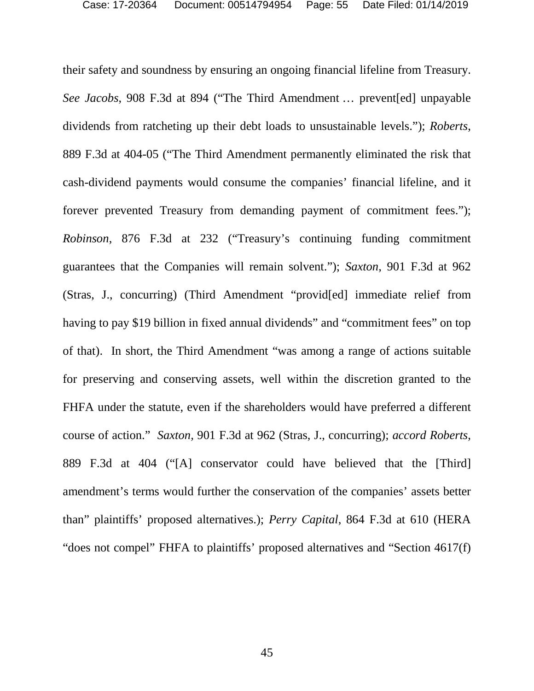their safety and soundness by ensuring an ongoing financial lifeline from Treasury. *See Jacobs*, 908 F.3d at 894 ("The Third Amendment … prevent[ed] unpayable dividends from ratcheting up their debt loads to unsustainable levels."); *Roberts*, 889 F.3d at 404-05 ("The Third Amendment permanently eliminated the risk that cash-dividend payments would consume the companies' financial lifeline, and it forever prevented Treasury from demanding payment of commitment fees."); *Robinson*, 876 F.3d at 232 ("Treasury's continuing funding commitment guarantees that the Companies will remain solvent."); *Saxton*, 901 F.3d at 962 (Stras, J., concurring) (Third Amendment "provid[ed] immediate relief from having to pay \$19 billion in fixed annual dividends" and "commitment fees" on top of that). In short, the Third Amendment "was among a range of actions suitable for preserving and conserving assets, well within the discretion granted to the FHFA under the statute, even if the shareholders would have preferred a different course of action." *Saxton,* 901 F.3d at 962 (Stras, J., concurring); *accord Roberts*, 889 F.3d at 404 ("[A] conservator could have believed that the [Third] amendment's terms would further the conservation of the companies' assets better than" plaintiffs' proposed alternatives.); *Perry Capital*, 864 F.3d at 610 (HERA "does not compel" FHFA to plaintiffs' proposed alternatives and "Section 4617(f)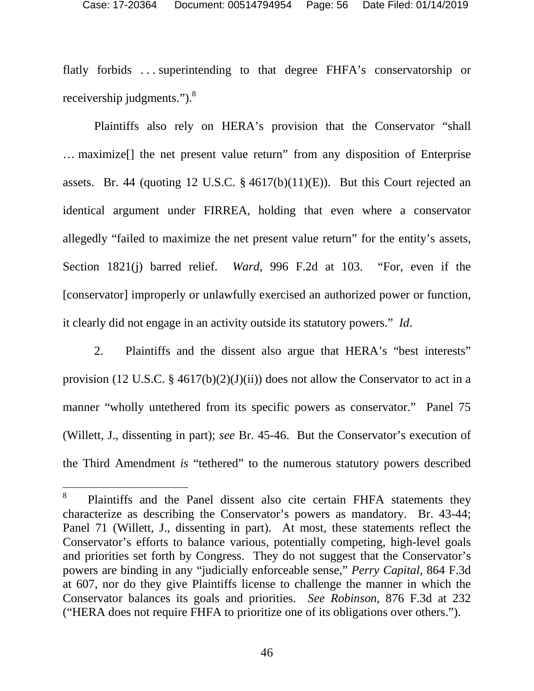flatly forbids . . . superintending to that degree FHFA's conservatorship or receivership judgments.").<sup>8</sup>

Plaintiffs also rely on HERA's provision that the Conservator "shall … maximize[] the net present value return" from any disposition of Enterprise assets. Br. 44 (quoting 12 U.S.C. § 4617(b)(11)(E)). But this Court rejected an identical argument under FIRREA, holding that even where a conservator allegedly "failed to maximize the net present value return" for the entity's assets, Section 1821(j) barred relief. *Ward*, 996 F.2d at 103. "For, even if the [conservator] improperly or unlawfully exercised an authorized power or function, it clearly did not engage in an activity outside its statutory powers." *Id*.

2. Plaintiffs and the dissent also argue that HERA's "best interests" provision (12 U.S.C. § 4617(b)(2)(J)(ii)) does not allow the Conservator to act in a manner "wholly untethered from its specific powers as conservator." Panel 75 (Willett, J., dissenting in part); *see* Br. 45-46. But the Conservator's execution of the Third Amendment *is* "tethered" to the numerous statutory powers described

<sup>8</sup> Plaintiffs and the Panel dissent also cite certain FHFA statements they characterize as describing the Conservator's powers as mandatory. Br. 43-44; Panel 71 (Willett, J., dissenting in part). At most, these statements reflect the Conservator's efforts to balance various, potentially competing, high-level goals and priorities set forth by Congress. They do not suggest that the Conservator's powers are binding in any "judicially enforceable sense," *Perry Capital*, 864 F.3d at 607, nor do they give Plaintiffs license to challenge the manner in which the Conservator balances its goals and priorities. *See Robinson*, 876 F.3d at 232 ("HERA does not require FHFA to prioritize one of its obligations over others.").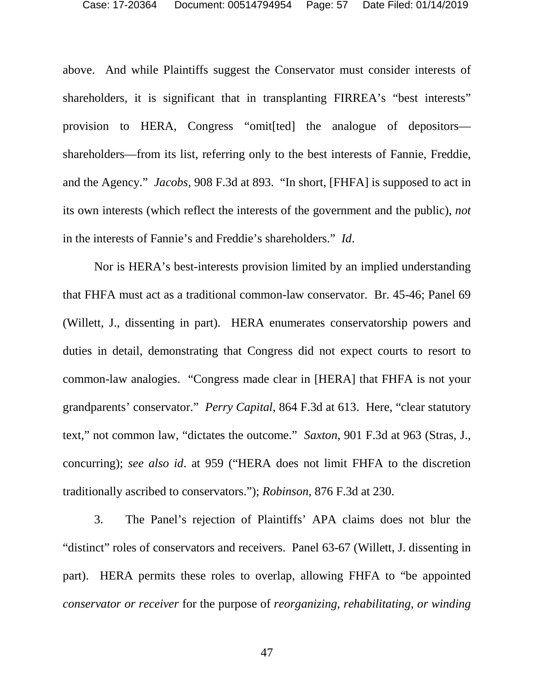above. And while Plaintiffs suggest the Conservator must consider interests of shareholders, it is significant that in transplanting FIRREA's "best interests" provision to HERA, Congress "omit[ted] the analogue of depositors shareholders—from its list, referring only to the best interests of Fannie, Freddie, and the Agency." *Jacobs*, 908 F.3d at 893. "In short, [FHFA] is supposed to act in its own interests (which reflect the interests of the government and the public), *not* in the interests of Fannie's and Freddie's shareholders." *Id*.

Nor is HERA's best-interests provision limited by an implied understanding that FHFA must act as a traditional common-law conservator. Br. 45-46; Panel 69 (Willett, J., dissenting in part). HERA enumerates conservatorship powers and duties in detail, demonstrating that Congress did not expect courts to resort to common-law analogies. "Congress made clear in [HERA] that FHFA is not your grandparents' conservator." *Perry Capital*, 864 F.3d at 613. Here, "clear statutory text," not common law, "dictates the outcome." *Saxton*, 901 F.3d at 963 (Stras, J., concurring); *see also id*. at 959 ("HERA does not limit FHFA to the discretion traditionally ascribed to conservators."); *Robinson*, 876 F.3d at 230.

3. The Panel's rejection of Plaintiffs' APA claims does not blur the "distinct" roles of conservators and receivers. Panel 63-67 (Willett, J. dissenting in part). HERA permits these roles to overlap, allowing FHFA to "be appointed *conservator or receiver* for the purpose of *reorganizing, rehabilitating, or winding*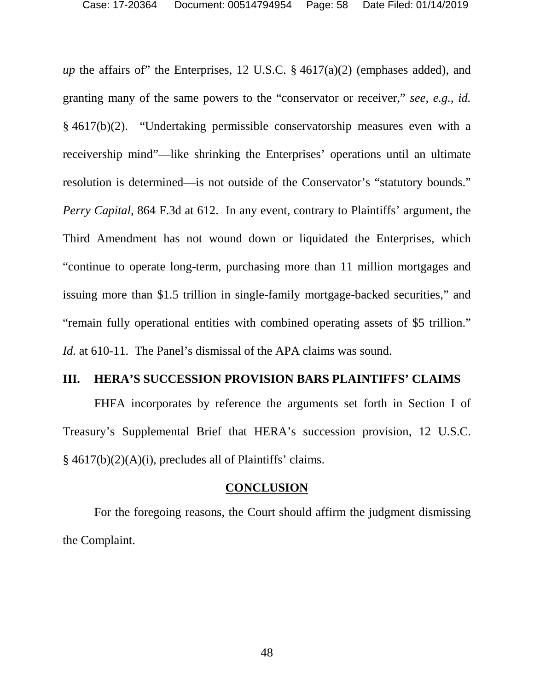*up* the affairs of" the Enterprises, 12 U.S.C. § 4617(a)(2) (emphases added), and granting many of the same powers to the "conservator or receiver," *see, e.g.*, *id.*  § 4617(b)(2). "Undertaking permissible conservatorship measures even with a receivership mind"—like shrinking the Enterprises' operations until an ultimate resolution is determined—is not outside of the Conservator's "statutory bounds." *Perry Capital*, 864 F.3d at 612. In any event, contrary to Plaintiffs' argument, the Third Amendment has not wound down or liquidated the Enterprises, which "continue to operate long-term, purchasing more than 11 million mortgages and issuing more than \$1.5 trillion in single-family mortgage-backed securities," and "remain fully operational entities with combined operating assets of \$5 trillion." *Id.* at 610-11. The Panel's dismissal of the APA claims was sound.

#### **III. HERA'S SUCCESSION PROVISION BARS PLAINTIFFS' CLAIMS**

FHFA incorporates by reference the arguments set forth in Section I of Treasury's Supplemental Brief that HERA's succession provision, 12 U.S.C. § 4617(b)(2)(A)(i), precludes all of Plaintiffs' claims.

#### **CONCLUSION**

For the foregoing reasons, the Court should affirm the judgment dismissing the Complaint.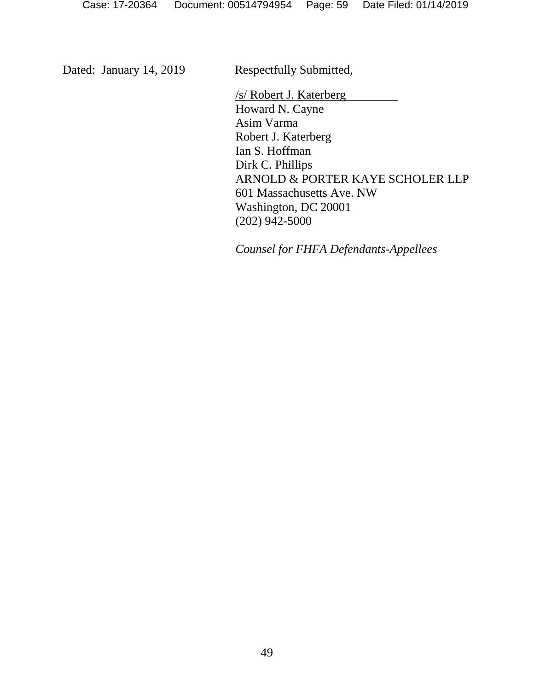Dated: January 14, 2019 Respectfully Submitted,

/s/ Robert J. Katerberg Howard N. Cayne Asim Varma Robert J. Katerberg Ian S. Hoffman Dirk C. Phillips ARNOLD & PORTER KAYE SCHOLER LLP 601 Massachusetts Ave. NW Washington, DC 20001 (202) 942-5000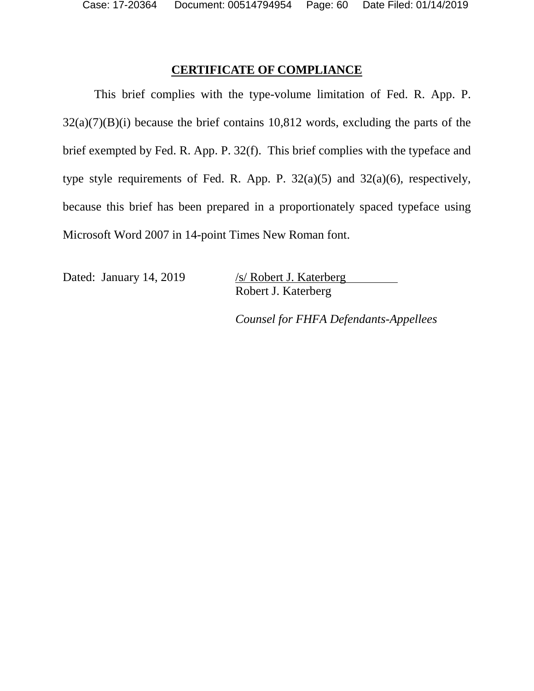### **CERTIFICATE OF COMPLIANCE**

This brief complies with the type-volume limitation of Fed. R. App. P.  $32(a)(7)(B)(i)$  because the brief contains 10,812 words, excluding the parts of the brief exempted by Fed. R. App. P. 32(f). This brief complies with the typeface and type style requirements of Fed. R. App. P.  $32(a)(5)$  and  $32(a)(6)$ , respectively, because this brief has been prepared in a proportionately spaced typeface using Microsoft Word 2007 in 14-point Times New Roman font.

Dated: January 14, 2019 /s/ Robert J. Katerberg

Robert J. Katerberg